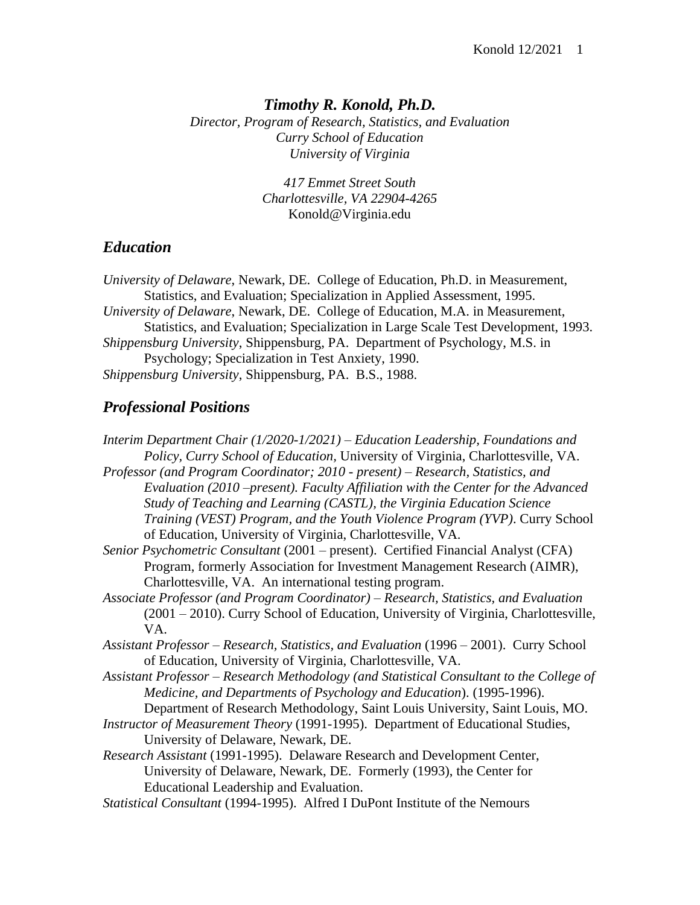## *Timothy R. Konold, Ph.D.*

*Director, Program of Research, Statistics, and Evaluation Curry School of Education University of Virginia*

> *417 Emmet Street South Charlottesville, VA 22904-4265* Konold@Virginia.edu

## *Education*

*University of Delaware*, Newark, DE. College of Education, Ph.D. in Measurement, Statistics, and Evaluation; Specialization in Applied Assessment, 1995. *University of Delaware*, Newark, DE. College of Education, M.A. in Measurement, Statistics, and Evaluation; Specialization in Large Scale Test Development, 1993. *Shippensburg University*, Shippensburg, PA. Department of Psychology, M.S. in Psychology; Specialization in Test Anxiety, 1990. *Shippensburg University*, Shippensburg, PA. B.S., 1988.

## *Professional Positions*

*Interim Department Chair (1/2020-1/2021) – Education Leadership, Foundations and Policy, Curry School of Education,* University of Virginia, Charlottesville, VA.

*Professor (and Program Coordinator; 2010 - present) – Research, Statistics, and Evaluation (2010 –present). Faculty Affiliation with the Center for the Advanced Study of Teaching and Learning (CASTL), the Virginia Education Science Training (VEST) Program, and the Youth Violence Program (YVP)*. Curry School of Education, University of Virginia, Charlottesville, VA.

*Senior Psychometric Consultant* (2001 – present). Certified Financial Analyst (CFA) Program, formerly Association for Investment Management Research (AIMR), Charlottesville, VA. An international testing program.

*Associate Professor (and Program Coordinator) – Research, Statistics, and Evaluation* (2001 – 2010). Curry School of Education, University of Virginia, Charlottesville, VA.

*Assistant Professor – Research, Statistics, and Evaluation* (1996 – 2001). Curry School of Education, University of Virginia, Charlottesville, VA.

*Assistant Professor – Research Methodology (and Statistical Consultant to the College of Medicine, and Departments of Psychology and Education*). (1995-1996).

Department of Research Methodology, Saint Louis University, Saint Louis, MO.

*Instructor of Measurement Theory* (1991-1995). Department of Educational Studies, University of Delaware, Newark, DE.

- *Research Assistant* (1991-1995). Delaware Research and Development Center, University of Delaware, Newark, DE. Formerly (1993), the Center for Educational Leadership and Evaluation.
- *Statistical Consultant* (1994-1995). Alfred I DuPont Institute of the Nemours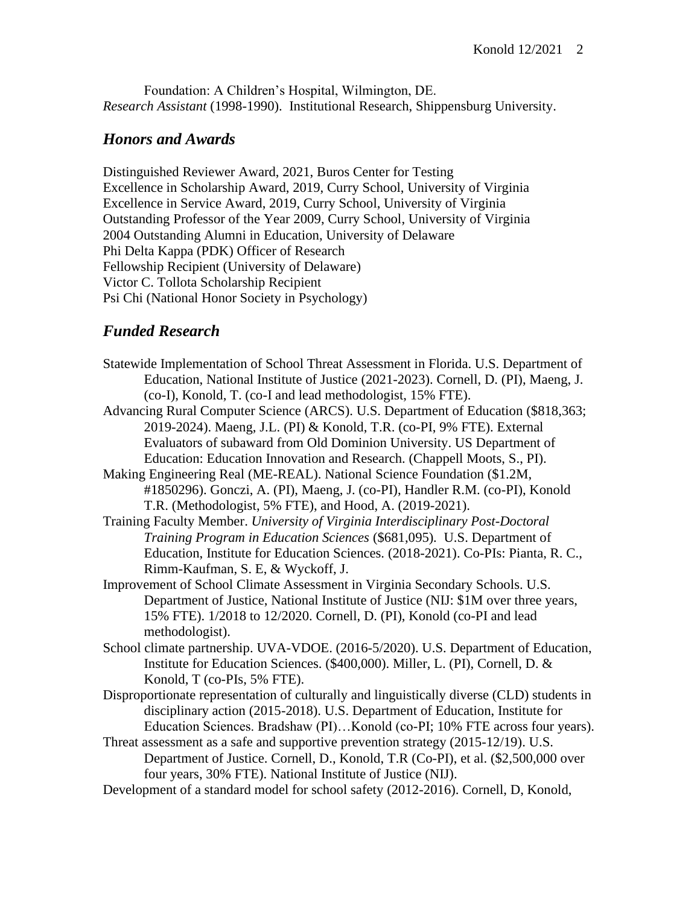Foundation: A Children's Hospital, Wilmington, DE. *Research Assistant* (1998-1990). Institutional Research, Shippensburg University.

#### *Honors and Awards*

Distinguished Reviewer Award, 2021, Buros Center for Testing Excellence in Scholarship Award, 2019, Curry School, University of Virginia Excellence in Service Award, 2019, Curry School, University of Virginia Outstanding Professor of the Year 2009, Curry School, University of Virginia 2004 Outstanding Alumni in Education, University of Delaware Phi Delta Kappa (PDK) Officer of Research Fellowship Recipient (University of Delaware) Victor C. Tollota Scholarship Recipient Psi Chi (National Honor Society in Psychology)

## *Funded Research*

- Statewide Implementation of School Threat Assessment in Florida. U.S. Department of Education, National Institute of Justice (2021-2023). Cornell, D. (PI), Maeng, J. (co-I), Konold, T. (co-I and lead methodologist, 15% FTE).
- Advancing Rural Computer Science (ARCS). U.S. Department of Education (\$818,363; 2019-2024). Maeng, J.L. (PI) & Konold, T.R. (co-PI, 9% FTE). External Evaluators of subaward from Old Dominion University. US Department of Education: Education Innovation and Research. (Chappell Moots, S., PI).
- Making Engineering Real (ME-REAL). National Science Foundation (\$1.2M, #1850296). Gonczi, A. (PI), Maeng, J. (co-PI), Handler R.M. (co-PI), Konold T.R. (Methodologist, 5% FTE), and Hood, A. (2019-2021).
- Training Faculty Member. *University of Virginia Interdisciplinary Post-Doctoral Training Program in Education Sciences* (\$681,095)*.* U.S. Department of Education, Institute for Education Sciences. (2018-2021). Co-PIs: Pianta, R. C., Rimm-Kaufman, S. E, & Wyckoff, J.
- Improvement of School Climate Assessment in Virginia Secondary Schools. U.S. Department of Justice, National Institute of Justice (NIJ: \$1M over three years, 15% FTE). 1/2018 to 12/2020. Cornell, D. (PI), Konold (co-PI and lead methodologist).
- School climate partnership. UVA-VDOE. (2016-5/2020). U.S. Department of Education, Institute for Education Sciences. (\$400,000). Miller, L. (PI), Cornell, D. & Konold, T (co-PIs, 5% FTE).
- Disproportionate representation of culturally and linguistically diverse (CLD) students in disciplinary action (2015-2018). U.S. Department of Education, Institute for Education Sciences. Bradshaw (PI)…Konold (co-PI; 10% FTE across four years).
- Threat assessment as a safe and supportive prevention strategy (2015-12/19). U.S. Department of Justice. Cornell, D., Konold, T.R (Co-PI), et al. (\$2,500,000 over four years, 30% FTE). National Institute of Justice (NIJ).
- Development of a standard model for school safety (2012-2016). Cornell, D, Konold,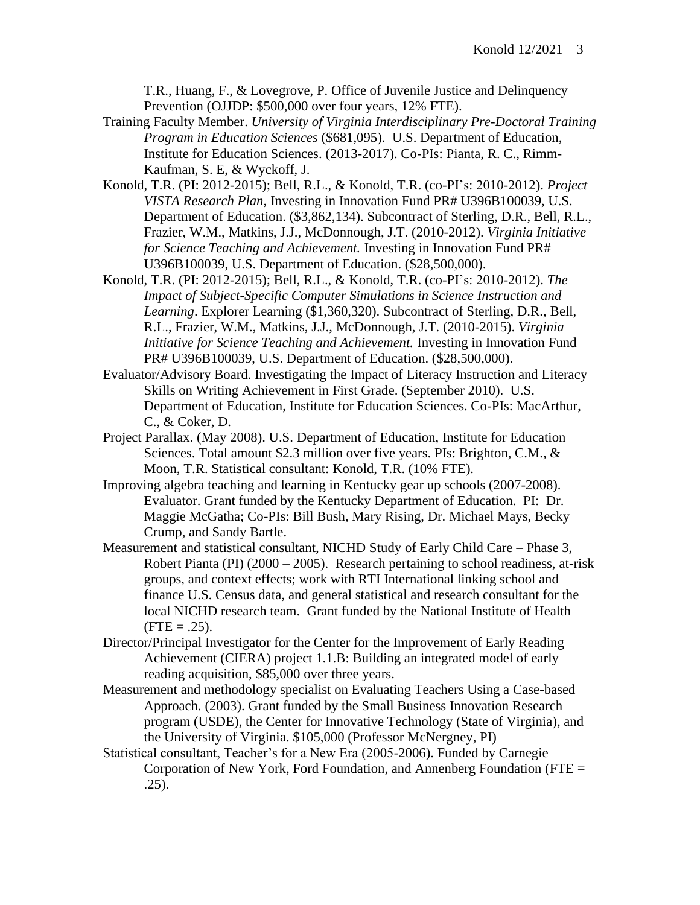T.R., Huang, F., & Lovegrove, P. Office of Juvenile Justice and Delinquency Prevention (OJJDP: \$500,000 over four years, 12% FTE).

- Training Faculty Member. *University of Virginia Interdisciplinary Pre-Doctoral Training Program in Education Sciences* (\$681,095)*.* U.S. Department of Education, Institute for Education Sciences. (2013-2017). Co-PIs: Pianta, R. C., Rimm-Kaufman, S. E, & Wyckoff, J.
- Konold, T.R. (PI: 2012-2015); Bell, R.L., & Konold, T.R. (co-PI's: 2010-2012). *Project VISTA Research Plan*, Investing in Innovation Fund PR# U396B100039, U.S. Department of Education. (\$3,862,134). Subcontract of Sterling, D.R., Bell, R.L., Frazier, W.M., Matkins, J.J., McDonnough, J.T. (2010-2012). *Virginia Initiative for Science Teaching and Achievement.* Investing in Innovation Fund PR# U396B100039, U.S. Department of Education. (\$28,500,000).
- Konold, T.R. (PI: 2012-2015); Bell, R.L., & Konold, T.R. (co-PI's: 2010-2012). *The Impact of Subject-Specific Computer Simulations in Science Instruction and Learning*. Explorer Learning (\$1,360,320). Subcontract of Sterling, D.R., Bell, R.L., Frazier, W.M., Matkins, J.J., McDonnough, J.T. (2010-2015). *Virginia Initiative for Science Teaching and Achievement.* Investing in Innovation Fund PR# U396B100039, U.S. Department of Education. (\$28,500,000).
- Evaluator/Advisory Board. Investigating the Impact of Literacy Instruction and Literacy Skills on Writing Achievement in First Grade. (September 2010). U.S. Department of Education, Institute for Education Sciences. Co-PIs: MacArthur, C., & Coker, D.
- Project Parallax. (May 2008). U.S. Department of Education, Institute for Education Sciences. Total amount \$2.3 million over five years. PIs: Brighton, C.M., & Moon, T.R. Statistical consultant: Konold, T.R. (10% FTE).
- Improving algebra teaching and learning in Kentucky gear up schools (2007-2008). Evaluator. Grant funded by the Kentucky Department of Education. PI: Dr. Maggie McGatha; Co-PIs: Bill Bush, Mary Rising, Dr. Michael Mays, Becky Crump, and Sandy Bartle.
- Measurement and statistical consultant, NICHD Study of Early Child Care Phase 3, Robert Pianta (PI) (2000 – 2005). Research pertaining to school readiness, at-risk groups, and context effects; work with RTI International linking school and finance U.S. Census data, and general statistical and research consultant for the local NICHD research team. Grant funded by the National Institute of Health  $(FTE = .25)$ .
- Director/Principal Investigator for the Center for the Improvement of Early Reading Achievement (CIERA) project 1.1.B: Building an integrated model of early reading acquisition, \$85,000 over three years.
- Measurement and methodology specialist on Evaluating Teachers Using a Case-based Approach. (2003). Grant funded by the Small Business Innovation Research program (USDE), the Center for Innovative Technology (State of Virginia), and the University of Virginia. \$105,000 (Professor McNergney, PI)
- Statistical consultant, Teacher's for a New Era (2005-2006). Funded by Carnegie Corporation of New York, Ford Foundation, and Annenberg Foundation (FTE = .25).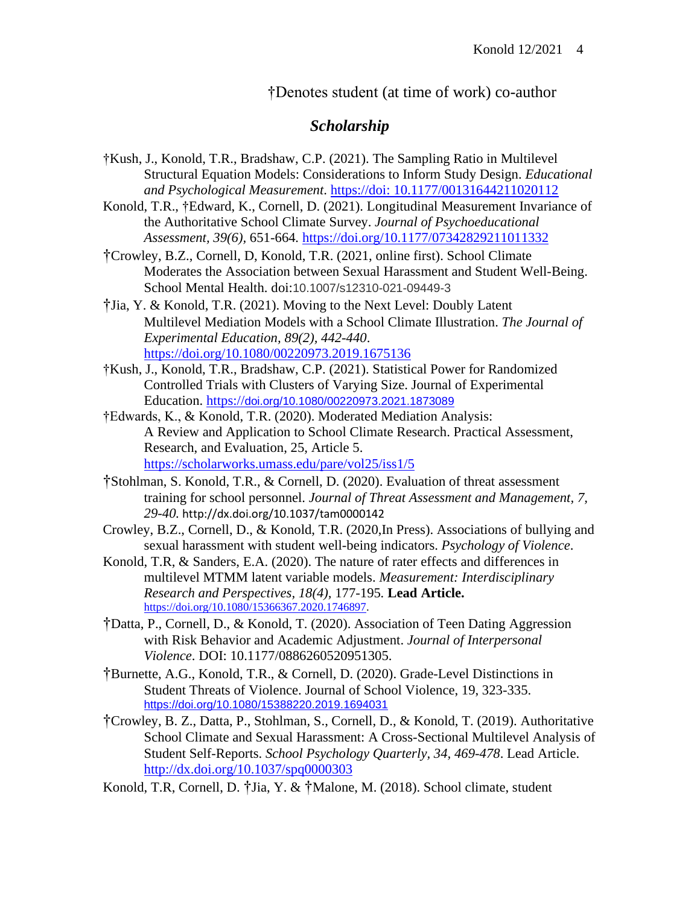†Denotes student (at time of work) co-author

# *Scholarship*

- †Kush, J., Konold, T.R., Bradshaw, C.P. (2021). The Sampling Ratio in Multilevel Structural Equation Models: Considerations to Inform Study Design. *Educational and Psychological Measurement*. https://doi: [10.1177/00131644211020112](https://doi:%2010.1177/00131644211020112)
- Konold, T.R., †Edward, K., Cornell, D. (2021). Longitudinal Measurement Invariance of the Authoritative School Climate Survey. *Journal of Psychoeducational Assessment, 39(6),* 651-664*.* <https://doi.org/10.1177/07342829211011332>
- †Crowley, B.Z., Cornell, D, Konold, T.R. (2021, online first). School Climate Moderates the Association between Sexual Harassment and Student Well-Being. School Mental Health. doi:10.1007/s12310-021-09449-3
- †Jia, Y. & Konold, T.R. (2021). Moving to the Next Level: Doubly Latent Multilevel Mediation Models with a School Climate Illustration. *The Journal of Experimental Education, 89(2), 442-440*. <https://doi.org/10.1080/00220973.2019.1675136>
- †Kush, J., Konold, T.R., Bradshaw, C.P. (2021). Statistical Power for Randomized Controlled Trials with Clusters of Varying Size. Journal of Experimental Education. https://[doi.org/10.1080/00220973.2021.1873089](https://doi.org/10.1080/00220973.2021.1873089)
- †Edwards, K., & Konold, T.R. (2020). Moderated Mediation Analysis: A Review and Application to School Climate Research. Practical Assessment, Research, and Evaluation, 25, Article 5. <https://scholarworks.umass.edu/pare/vol25/iss1/5>
- †Stohlman, S. Konold, T.R., & Cornell, D. (2020). Evaluation of threat assessment training for school personnel. *Journal of Threat Assessment and Management, 7, 29-40.* http://dx.doi.org/10.1037/tam0000142
- Crowley, B.Z., Cornell, D., & Konold, T.R. (2020,In Press). Associations of bullying and sexual harassment with student well-being indicators. *Psychology of Violence*.
- Konold, T.R, & Sanders, E.A. (2020). The nature of rater effects and differences in multilevel MTMM latent variable models. *Measurement: Interdisciplinary Research and Perspectives, 18(4),* 177-195*.* **Lead Article.** [https://doi.org/10.1080/15366367.2020.1746897.](https://doi.org/10.1080/15366367.2020.1746897)
- †Datta, P., Cornell, D., & Konold, T. (2020). Association of Teen Dating Aggression with Risk Behavior and Academic Adjustment. *Journal of Interpersonal Violence*. DOI: 10.1177/0886260520951305.
- †Burnette, A.G., Konold, T.R., & Cornell, D. (2020). Grade-Level Distinctions in Student Threats of Violence. Journal of School Violence, 19, 323-335. <https://doi.org/10.1080/15388220.2019.1694031>
- †Crowley, B. Z., Datta, P., Stohlman, S., Cornell, D., & Konold, T. (2019). Authoritative School Climate and Sexual Harassment: A Cross-Sectional Multilevel Analysis of Student Self-Reports. *School Psychology Quarterly, 34, 469-478*. Lead Article. <http://dx.doi.org/10.1037/spq0000303>
- Konold, T.R, Cornell, D. †Jia, Y. & †Malone, M. (2018). School climate, student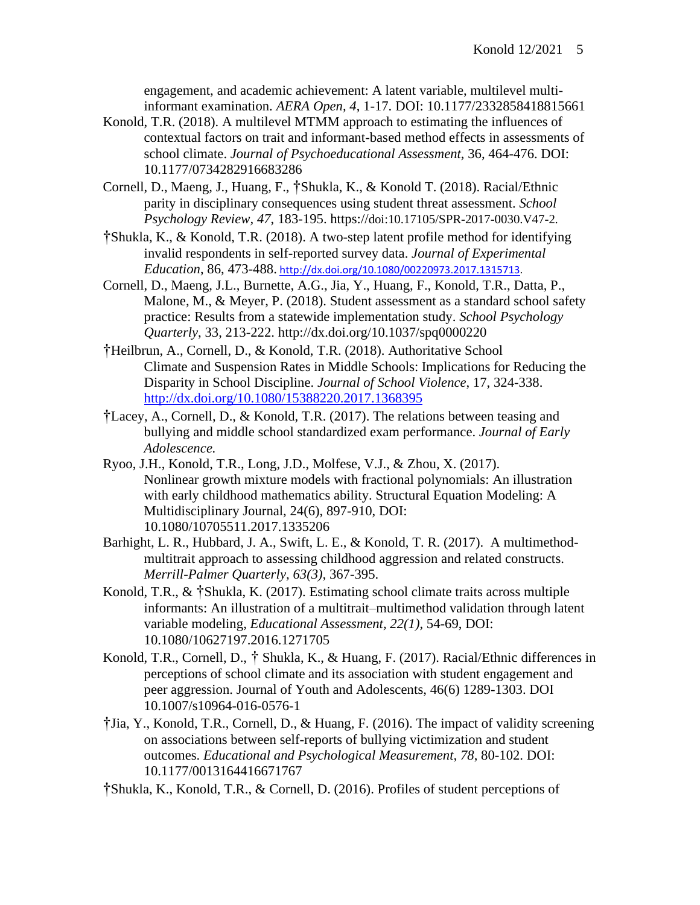engagement, and academic achievement: A latent variable, multilevel multiinformant examination. *AERA Open, 4*, 1-17. DOI: 10.1177/2332858418815661

- Konold, T.R. (2018). A multilevel MTMM approach to estimating the influences of contextual factors on trait and informant-based method effects in assessments of school climate. *Journal of Psychoeducational Assessment*, 36, 464-476. DOI: 10.1177/0734282916683286
- Cornell, D., Maeng, J., Huang, F., †Shukla, K., & Konold T. (2018). Racial/Ethnic parity in disciplinary consequences using student threat assessment. *School Psychology Review, 47*, 183-195. https://doi:10.17105/SPR-2017-0030.V47-2.
- †Shukla, K., & Konold, T.R. (2018). A two-step latent profile method for identifying invalid respondents in self-reported survey data. *Journal of Experimental Education*, 86, 473-488. [http://dx.doi.org/10.1080/00220973.2017.1315713.](http://dx.doi.org/10.1080/00220973.2017.1315713)
- Cornell, D., Maeng, J.L., Burnette, A.G., Jia, Y., Huang, F., Konold, T.R., Datta, P., Malone, M., & Meyer, P. (2018). Student assessment as a standard school safety practice: Results from a statewide implementation study. *School Psychology Quarterly*, 33, 213-222. http://dx.doi.org/10.1037/spq0000220
- †Heilbrun, A., Cornell, D., & Konold, T.R. (2018). Authoritative School Climate and Suspension Rates in Middle Schools: Implications for Reducing the Disparity in School Discipline. *Journal of School Violence*, 17, 324-338. <http://dx.doi.org/10.1080/15388220.2017.1368395>
- †Lacey, A., Cornell, D., & Konold, T.R. (2017). The relations between teasing and bullying and middle school standardized exam performance. *Journal of Early Adolescence.*
- Ryoo, J.H., Konold, T.R., Long, J.D., Molfese, V.J., & Zhou, X. (2017). Nonlinear growth mixture models with fractional polynomials: An illustration with early childhood mathematics ability. Structural Equation Modeling: A Multidisciplinary Journal, 24(6), 897-910, DOI: 10.1080/10705511.2017.1335206
- Barhight, L. R., Hubbard, J. A., Swift, L. E., & Konold, T. R. (2017). A multimethodmultitrait approach to assessing childhood aggression and related constructs. *Merrill-Palmer Quarterly, 63(3),* 367-395.
- Konold, T.R., & †Shukla, K. (2017). Estimating school climate traits across multiple informants: An illustration of a multitrait–multimethod validation through latent variable modeling, *Educational Assessment, 22(1)*, 54-69, DOI: 10.1080/10627197.2016.1271705
- Konold, T.R., Cornell, D., † Shukla, K., & Huang, F. (2017). Racial/Ethnic differences in perceptions of school climate and its association with student engagement and peer aggression. Journal of Youth and Adolescents, 46(6) 1289-1303. DOI 10.1007/s10964-016-0576-1
- †Jia, Y., Konold, T.R., Cornell, D., & Huang, F. (2016). The impact of validity screening on associations between self-reports of bullying victimization and student outcomes. *Educational and Psychological Measurement, 78*, 80-102. DOI: 10.1177/0013164416671767

†Shukla, K., Konold, T.R., & Cornell, D. (2016). Profiles of student perceptions of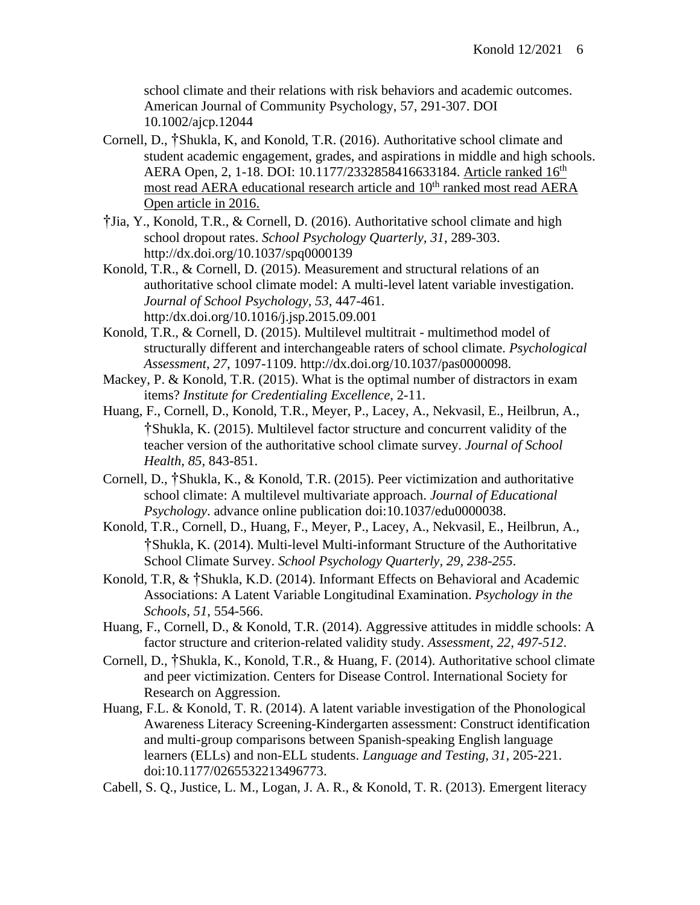school climate and their relations with risk behaviors and academic outcomes. American Journal of Community Psychology, 57, 291-307. DOI 10.1002/ajcp.12044

- Cornell, D., †Shukla, K, and Konold, T.R. (2016). Authoritative school climate and student academic engagement, grades, and aspirations in middle and high schools. AERA Open, 2, 1-18. DOI: 10.1177/2332858416633184. Article ranked 16<sup>th</sup> most read AERA educational research article and 10<sup>th</sup> ranked most read AERA Open article in 2016.
- †Jia, Y., Konold, T.R., & Cornell, D. (2016). Authoritative school climate and high school dropout rates. *School Psychology Quarterly, 31*, 289-303. http://dx.doi.org/10.1037/spq0000139
- Konold, T.R., & Cornell, D. (2015). Measurement and structural relations of an authoritative school climate model: A multi-level latent variable investigation. *Journal of School Psychology, 53,* 447-461. http:/dx.doi.org/10.1016/j.jsp.2015.09.001
- Konold, T.R., & Cornell, D. (2015). Multilevel multitrait multimethod model of structurally different and interchangeable raters of school climate. *Psychological Assessment*, *27*, 1097-1109. http://dx.doi.org/10.1037/pas0000098.
- Mackey, P. & Konold, T.R. (2015). What is the optimal number of distractors in exam items? *Institute for Credentialing Excellence*, 2-11.
- Huang, F., Cornell, D., Konold, T.R., Meyer, P., Lacey, A., Nekvasil, E., Heilbrun, A., †Shukla, K. (2015). Multilevel factor structure and concurrent validity of the teacher version of the authoritative school climate survey. *Journal of School Health, 85,* 843-851.
- Cornell, D., †Shukla, K., & Konold, T.R. (2015). Peer victimization and authoritative school climate: A multilevel multivariate approach. *Journal of Educational Psychology*. advance online publication doi:10.1037/edu0000038.
- Konold, T.R., Cornell, D., Huang, F., Meyer, P., Lacey, A., Nekvasil, E., Heilbrun, A., †Shukla, K. (2014). Multi-level Multi-informant Structure of the Authoritative School Climate Survey. *School Psychology Quarterly, 29, 238-255*.
- Konold, T.R, & †Shukla, K.D. (2014). Informant Effects on Behavioral and Academic Associations: A Latent Variable Longitudinal Examination. *Psychology in the Schools, 51*, 554-566.
- Huang, F., Cornell, D., & Konold, T.R. (2014). Aggressive attitudes in middle schools: A factor structure and criterion-related validity study. *Assessment, 22, 497-512*.
- Cornell, D., †Shukla, K., Konold, T.R., & Huang, F. (2014). Authoritative school climate and peer victimization. Centers for Disease Control. International Society for Research on Aggression.
- Huang, F.L. & Konold, T. R. (2014). A latent variable investigation of the Phonological Awareness Literacy Screening-Kindergarten assessment: Construct identification and multi-group comparisons between Spanish-speaking English language learners (ELLs) and non-ELL students. *Language and Testing, 31*, 205-221. doi:10.1177/0265532213496773.
- Cabell, S. Q., Justice, L. M., Logan, J. A. R., & Konold, T. R. (2013). Emergent literacy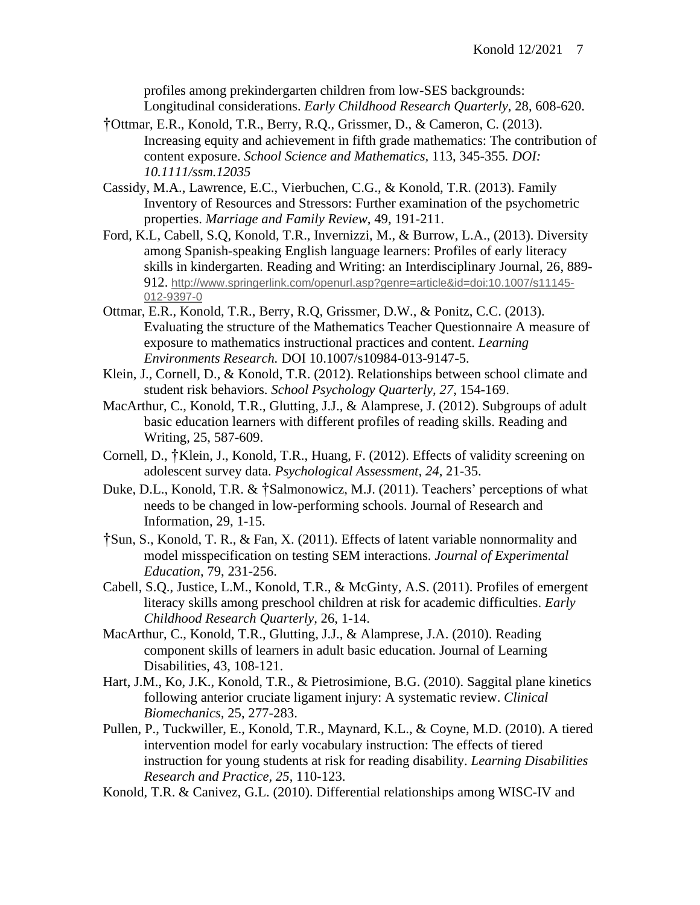profiles among prekindergarten children from low-SES backgrounds: Longitudinal considerations. *Early Childhood Research Quarterly*, 28, 608-620.

- †Ottmar, E.R., Konold, T.R., Berry, R.Q., Grissmer, D., & Cameron, C. (2013). Increasing equity and achievement in fifth grade mathematics: The contribution of content exposure. *School Science and Mathematics,* 113, 345-355*. DOI: 10.1111/ssm.12035*
- Cassidy, M.A., Lawrence, E.C., Vierbuchen, C.G., & Konold, T.R. (2013). Family Inventory of Resources and Stressors: Further examination of the psychometric properties. *Marriage and Family Review*, 49, 191-211.
- Ford, K.L, Cabell, S.Q, Konold, T.R., Invernizzi, M., & Burrow, L.A., (2013). Diversity among Spanish-speaking English language learners: Profiles of early literacy skills in kindergarten. Reading and Writing: an Interdisciplinary Journal, 26, 889- 912. [http://www.springerlink.com/openurl.asp?genre=article&id=doi:10.1007/s11145-](http://www.springer.com/alert/urltracking.do?id=Lcc1b8bMa5bb14Sab202d7) [012-9397-0](http://www.springer.com/alert/urltracking.do?id=Lcc1b8bMa5bb14Sab202d7)
- Ottmar, E.R., Konold, T.R., Berry, R.Q, Grissmer, D.W., & Ponitz, C.C. (2013). Evaluating the structure of the Mathematics Teacher Questionnaire A measure of exposure to mathematics instructional practices and content. *Learning Environments Research.* DOI 10.1007/s10984-013-9147-5.
- Klein, J., Cornell, D., & Konold, T.R. (2012). Relationships between school climate and student risk behaviors. *School Psychology Quarterly, 27*, 154-169.
- MacArthur, C., Konold, T.R., Glutting, J.J., & Alamprese, J. (2012). Subgroups of adult basic education learners with different profiles of reading skills. Reading and Writing, 25, 587-609.
- Cornell, D., †Klein, J., Konold, T.R., Huang, F. (2012). Effects of validity screening on adolescent survey data. *Psychological Assessment, 24*, 21-35.
- Duke, D.L., Konold, T.R. & †Salmonowicz, M.J. (2011). Teachers' perceptions of what needs to be changed in low-performing schools. Journal of Research and Information, 29, 1-15.
- †Sun, S., Konold, T. R., & Fan, X. (2011). Effects of latent variable nonnormality and model misspecification on testing SEM interactions. *Journal of Experimental Education*, 79, 231-256.
- Cabell, S.Q., Justice, L.M., Konold, T.R., & McGinty, A.S. (2011). Profiles of emergent literacy skills among preschool children at risk for academic difficulties. *Early Childhood Research Quarterly,* 26, 1-14.
- MacArthur, C., Konold, T.R., Glutting, J.J., & Alamprese, J.A. (2010). Reading component skills of learners in adult basic education. Journal of Learning Disabilities, 43, 108-121.
- Hart, J.M., Ko, J.K., Konold, T.R., & Pietrosimione, B.G. (2010). Saggital plane kinetics following anterior cruciate ligament injury: A systematic review. *Clinical Biomechanics,* 25, 277-283.
- Pullen, P., Tuckwiller, E., Konold, T.R., Maynard, K.L., & Coyne, M.D. (2010). A tiered intervention model for early vocabulary instruction: The effects of tiered instruction for young students at risk for reading disability. *Learning Disabilities Research and Practice, 25*, 110-123.
- Konold, T.R. & Canivez, G.L. (2010). Differential relationships among WISC-IV and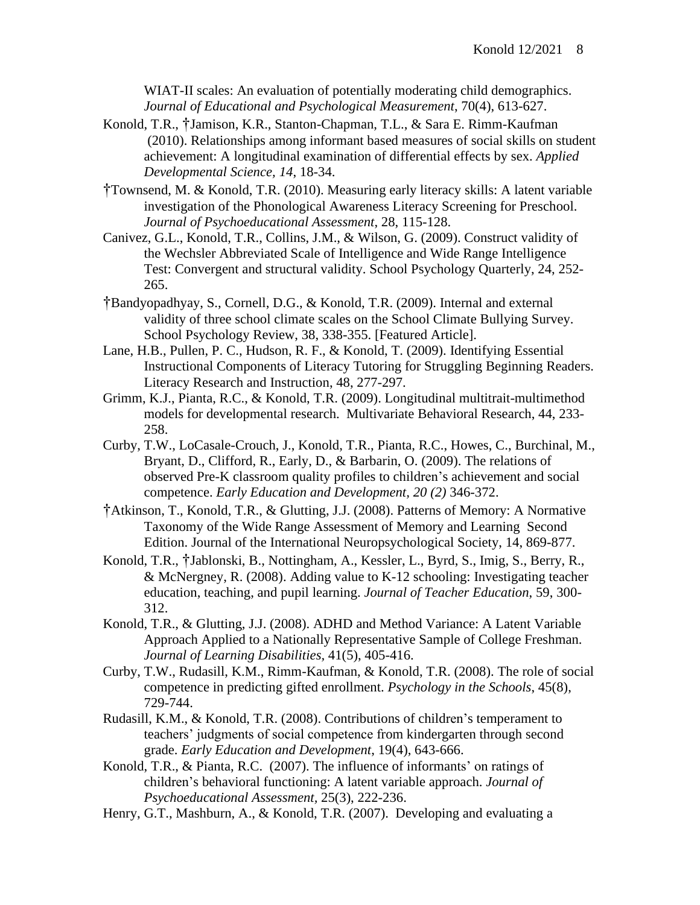WIAT-II scales: An evaluation of potentially moderating child demographics. *Journal of Educational and Psychological Measurement*, 70(4), 613-627.

- Konold, T.R., †Jamison, K.R., Stanton-Chapman, T.L., & Sara E. Rimm-Kaufman (2010). Relationships among informant based measures of social skills on student achievement: A longitudinal examination of differential effects by sex. *Applied Developmental Science, 14*, 18-34.
- †Townsend, M. & Konold, T.R. (2010). Measuring early literacy skills: A latent variable investigation of the Phonological Awareness Literacy Screening for Preschool. *Journal of Psychoeducational Assessment*, 28, 115-128.
- Canivez, G.L., Konold, T.R., Collins, J.M., & Wilson, G. (2009). Construct validity of the Wechsler Abbreviated Scale of Intelligence and Wide Range Intelligence Test: Convergent and structural validity. School Psychology Quarterly, 24, 252- 265.
- †Bandyopadhyay, S., Cornell, D.G., & Konold, T.R. (2009). Internal and external validity of three school climate scales on the School Climate Bullying Survey. School Psychology Review, 38, 338-355. [Featured Article].
- Lane, H.B., Pullen, P. C., Hudson, R. F., & Konold, T. (2009). Identifying Essential Instructional Components of Literacy Tutoring for Struggling Beginning Readers. Literacy Research and Instruction, 48, 277-297.
- Grimm, K.J., Pianta, R.C., & Konold, T.R. (2009). Longitudinal multitrait-multimethod models for developmental research. Multivariate Behavioral Research, 44, 233- 258.
- Curby, T.W., LoCasale-Crouch, J., Konold, T.R., Pianta, R.C., Howes, C., Burchinal, M., Bryant, D., Clifford, R., Early, D., & Barbarin, O. (2009). The relations of observed Pre-K classroom quality profiles to children's achievement and social competence. *Early Education and Development, 20 (2)* 346-372.
- †Atkinson, T., Konold, T.R., & Glutting, J.J. (2008). Patterns of Memory: A Normative Taxonomy of the Wide Range Assessment of Memory and Learning Second Edition. Journal of the International Neuropsychological Society, 14, 869-877.
- Konold, T.R., †Jablonski, B., Nottingham, A., Kessler, L., Byrd, S., Imig, S., Berry, R., & McNergney, R. (2008). Adding value to K-12 schooling: Investigating teacher education, teaching, and pupil learning. *Journal of Teacher Education*, 59, 300- 312.
- Konold, T.R., & Glutting, J.J. (2008). ADHD and Method Variance: A Latent Variable Approach Applied to a Nationally Representative Sample of College Freshman. *Journal of Learning Disabilities,* 41(5), 405-416.
- Curby, T.W., Rudasill, K.M., Rimm-Kaufman, & Konold, T.R. (2008). The role of social competence in predicting gifted enrollment. *Psychology in the Schools*, 45(8), 729-744.
- Rudasill, K.M., & Konold, T.R. (2008). Contributions of children's temperament to teachers' judgments of social competence from kindergarten through second grade. *Early Education and Development*, 19(4), 643-666.
- Konold, T.R., & Pianta, R.C. (2007). The influence of informants' on ratings of children's behavioral functioning: A latent variable approach. *Journal of Psychoeducational Assessment,* 25(3), 222-236.
- Henry, G.T., Mashburn, A., & Konold, T.R. (2007). Developing and evaluating a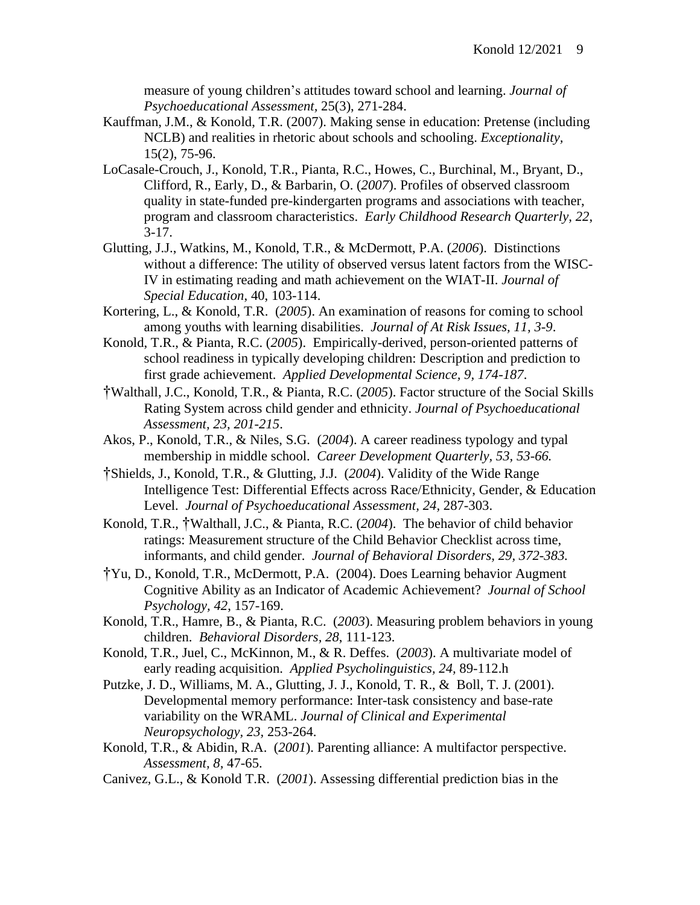measure of young children's attitudes toward school and learning. *Journal of Psychoeducational Assessment,* 25(3), 271-284.

- Kauffman, J.M., & Konold, T.R. (2007). Making sense in education: Pretense (including NCLB) and realities in rhetoric about schools and schooling. *Exceptionality,*  15(2), 75-96.
- LoCasale-Crouch, J., Konold, T.R., Pianta, R.C., Howes, C., Burchinal, M., Bryant, D., Clifford, R., Early, D., & Barbarin, O. (*2007*). Profiles of observed classroom quality in state-funded pre-kindergarten programs and associations with teacher, program and classroom characteristics. *Early Childhood Research Quarterly, 22*, 3-17.
- Glutting, J.J., Watkins, M., Konold, T.R., & McDermott, P.A. (*2006*). Distinctions without a difference: The utility of observed versus latent factors from the WISC-IV in estimating reading and math achievement on the WIAT-II. *Journal of Special Education*, 40, 103-114.
- Kortering, L., & Konold, T.R. (*2005*). An examination of reasons for coming to school among youths with learning disabilities. *Journal of At Risk Issues, 11, 3-9*.
- Konold, T.R., & Pianta, R.C. (*2005*). Empirically-derived, person-oriented patterns of school readiness in typically developing children: Description and prediction to first grade achievement. *Applied Developmental Science, 9, 174-187*.
- †Walthall, J.C., Konold, T.R., & Pianta, R.C. (*2005*). Factor structure of the Social Skills Rating System across child gender and ethnicity. *Journal of Psychoeducational Assessment, 23, 201-215*.
- Akos, P., Konold, T.R., & Niles, S.G. (*2004*). A career readiness typology and typal membership in middle school. *Career Development Quarterly, 53, 53-66.*
- †Shields, J., Konold, T.R., & Glutting, J.J. (*2004*). Validity of the Wide Range Intelligence Test: Differential Effects across Race/Ethnicity, Gender, & Education Level. *Journal of Psychoeducational Assessment, 24,* 287-303.
- Konold, T.R., †Walthall, J.C., & Pianta, R.C. (*2004*). The behavior of child behavior ratings: Measurement structure of the Child Behavior Checklist across time, informants, and child gender. *Journal of Behavioral Disorders, 29, 372-383.*
- †Yu, D., Konold, T.R., McDermott, P.A. (2004). Does Learning behavior Augment Cognitive Ability as an Indicator of Academic Achievement? *Journal of School Psychology, 42*, 157-169.
- Konold, T.R., Hamre, B., & Pianta, R.C. (*2003*). Measuring problem behaviors in young children.*Behavioral Disorders, 28*, 111-123.
- Konold, T.R., Juel, C., McKinnon, M., & R. Deffes. (*2003*). A multivariate model of early reading acquisition. *Applied Psycholinguistics, 24,* 89-112.h
- Putzke, J. D., Williams, M. A., Glutting, J. J., Konold, T. R., & Boll, T. J. (2001). Developmental memory performance: Inter-task consistency and base-rate variability on the WRAML. *Journal of Clinical and Experimental Neuropsychology, 23,* 253-264.
- Konold, T.R., & Abidin, R.A. (*2001*). Parenting alliance: A multifactor perspective. *Assessment, 8,* 47-65.
- Canivez, G.L., & Konold T.R. (*2001*). Assessing differential prediction bias in the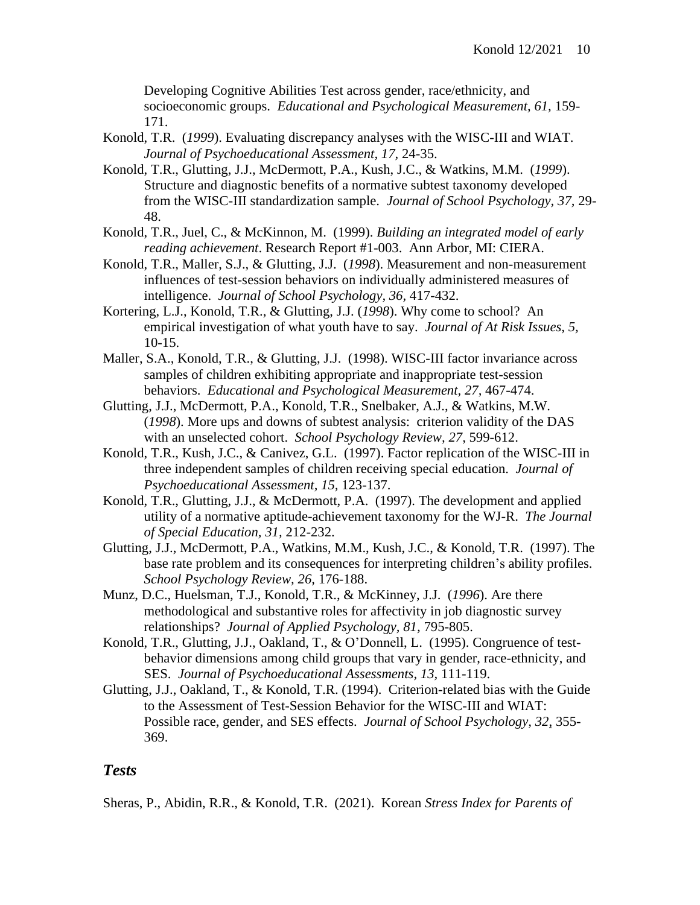Developing Cognitive Abilities Test across gender, race/ethnicity, and socioeconomic groups. *Educational and Psychological Measurement, 61,* 159- 171.

- Konold, T.R. (*1999*). Evaluating discrepancy analyses with the WISC-III and WIAT. *Journal of Psychoeducational Assessment, 17,* 24-35.
- Konold, T.R., Glutting, J.J., McDermott, P.A., Kush, J.C., & Watkins, M.M. (*1999*). Structure and diagnostic benefits of a normative subtest taxonomy developed from the WISC-III standardization sample. *Journal of School Psychology, 37,* 29- 48.
- Konold, T.R., Juel, C., & McKinnon, M. (1999). *Building an integrated model of early reading achievement*. Research Report #1-003. Ann Arbor, MI: CIERA.
- Konold, T.R., Maller, S.J., & Glutting, J.J. (*1998*). Measurement and non-measurement influences of test-session behaviors on individually administered measures of intelligence. *Journal of School Psychology, 36,* 417-432.
- Kortering, L.J., Konold, T.R., & Glutting, J.J. (*1998*). Why come to school? An empirical investigation of what youth have to say. *Journal of At Risk Issues, 5,* 10-15.
- Maller, S.A., Konold, T.R., & Glutting, J.J. (1998). WISC-III factor invariance across samples of children exhibiting appropriate and inappropriate test-session behaviors. *Educational and Psychological Measurement, 27,* 467-474.
- Glutting, J.J., McDermott, P.A., Konold, T.R., Snelbaker, A.J., & Watkins, M.W. (*1998*). More ups and downs of subtest analysis: criterion validity of the DAS with an unselected cohort. *School Psychology Review, 27,* 599-612.
- Konold, T.R., Kush, J.C., & Canivez, G.L. (1997). Factor replication of the WISC-III in three independent samples of children receiving special education. *Journal of Psychoeducational Assessment, 15,* 123-137.
- Konold, T.R., Glutting, J.J., & McDermott, P.A. (1997). The development and applied utility of a normative aptitude-achievement taxonomy for the WJ-R. *The Journal of Special Education, 31,* 212-232.
- Glutting, J.J., McDermott, P.A., Watkins, M.M., Kush, J.C., & Konold, T.R. (1997). The base rate problem and its consequences for interpreting children's ability profiles. *School Psychology Review, 26,* 176-188.
- Munz, D.C., Huelsman, T.J., Konold, T.R., & McKinney, J.J. (*1996*). Are there methodological and substantive roles for affectivity in job diagnostic survey relationships? *Journal of Applied Psychology, 81,* 795-805.
- Konold, T.R., Glutting, J.J., Oakland, T., & O'Donnell, L. (1995). Congruence of testbehavior dimensions among child groups that vary in gender, race-ethnicity, and SES. *Journal of Psychoeducational Assessments, 13,* 111-119.
- Glutting, J.J., Oakland, T., & Konold, T.R. (1994). Criterion-related bias with the Guide to the Assessment of Test-Session Behavior for the WISC-III and WIAT: Possible race, gender, and SES effects. *Journal of School Psychology, 32*, 355- 369.

#### *Tests*

Sheras, P., Abidin, R.R., & Konold, T.R. (2021). Korean *Stress Index for Parents of*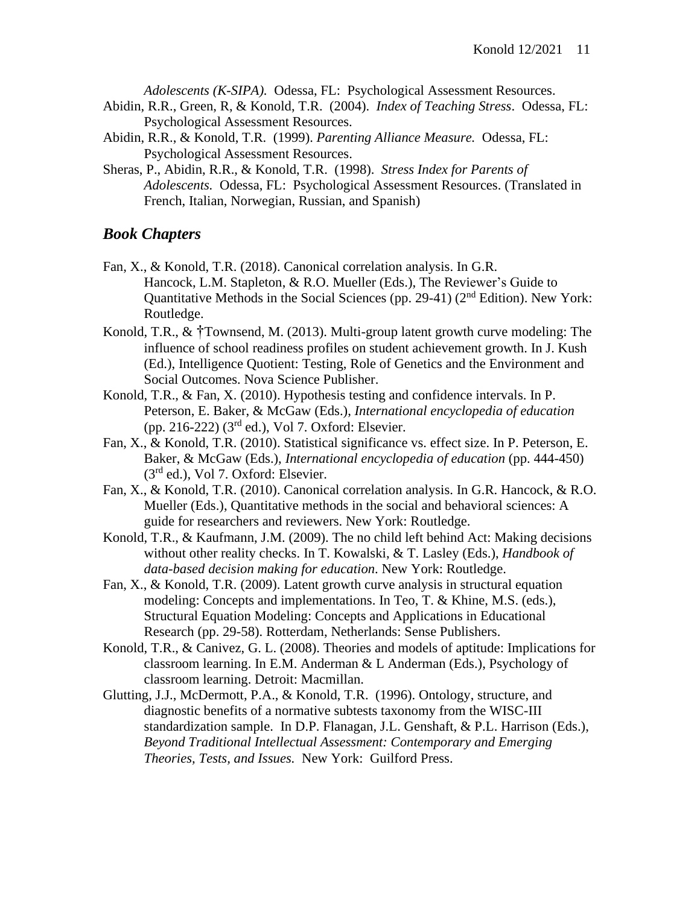*Adolescents (K-SIPA).* Odessa, FL: Psychological Assessment Resources.

- Abidin, R.R., Green, R, & Konold, T.R. (2004). *Index of Teaching Stress*. Odessa, FL: Psychological Assessment Resources.
- Abidin, R.R., & Konold, T.R. (1999). *Parenting Alliance Measure.* Odessa, FL: Psychological Assessment Resources.
- Sheras, P., Abidin, R.R., & Konold, T.R. (1998). *Stress Index for Parents of Adolescents.* Odessa, FL: Psychological Assessment Resources. (Translated in French, Italian, Norwegian, Russian, and Spanish)

#### *Book Chapters*

- Fan, X., & Konold, T.R. (2018). Canonical correlation analysis. In G.R. Hancock, L.M. Stapleton, & R.O. Mueller (Eds.), The Reviewer's Guide to Quantitative Methods in the Social Sciences (pp. 29-41) (2nd Edition). New York: Routledge.
- Konold, T.R., & †Townsend, M. (2013). Multi-group latent growth curve modeling: The influence of school readiness profiles on student achievement growth. In J. Kush (Ed.), Intelligence Quotient: Testing, Role of Genetics and the Environment and Social Outcomes. Nova Science Publisher.
- Konold, T.R., & Fan, X. (2010). Hypothesis testing and confidence intervals. In P. Peterson, E. Baker, & McGaw (Eds.), *International encyclopedia of education* (pp. 216-222)  $(3<sup>rd</sup>$  ed.), Vol 7. Oxford: Elsevier.
- Fan, X., & Konold, T.R. (2010). Statistical significance vs. effect size. In P. Peterson, E. Baker, & McGaw (Eds.), *International encyclopedia of education* (pp. 444-450)  $(3<sup>rd</sup>$  ed.), Vol 7. Oxford: Elsevier.
- Fan, X., & Konold, T.R. (2010). Canonical correlation analysis. In G.R. Hancock, & R.O. Mueller (Eds.), Quantitative methods in the social and behavioral sciences: A guide for researchers and reviewers. New York: Routledge.
- Konold, T.R., & Kaufmann, J.M. (2009). The no child left behind Act: Making decisions without other reality checks. In T. Kowalski, & T. Lasley (Eds.), *Handbook of data-based decision making for education*. New York: Routledge.
- Fan, X., & Konold, T.R. (2009). Latent growth curve analysis in structural equation modeling: Concepts and implementations. In Teo, T. & Khine, M.S. (eds.), Structural Equation Modeling: Concepts and Applications in Educational Research (pp. 29-58). Rotterdam, Netherlands: Sense Publishers.
- Konold, T.R., & Canivez, G. L. (2008). Theories and models of aptitude: Implications for classroom learning. In E.M. Anderman & L Anderman (Eds.), Psychology of classroom learning. Detroit: Macmillan.
- Glutting, J.J., McDermott, P.A., & Konold, T.R. (1996). Ontology, structure, and diagnostic benefits of a normative subtests taxonomy from the WISC-III standardization sample. In D.P. Flanagan, J.L. Genshaft, & P.L. Harrison (Eds.), *Beyond Traditional Intellectual Assessment: Contemporary and Emerging Theories, Tests, and Issues.* New York: Guilford Press.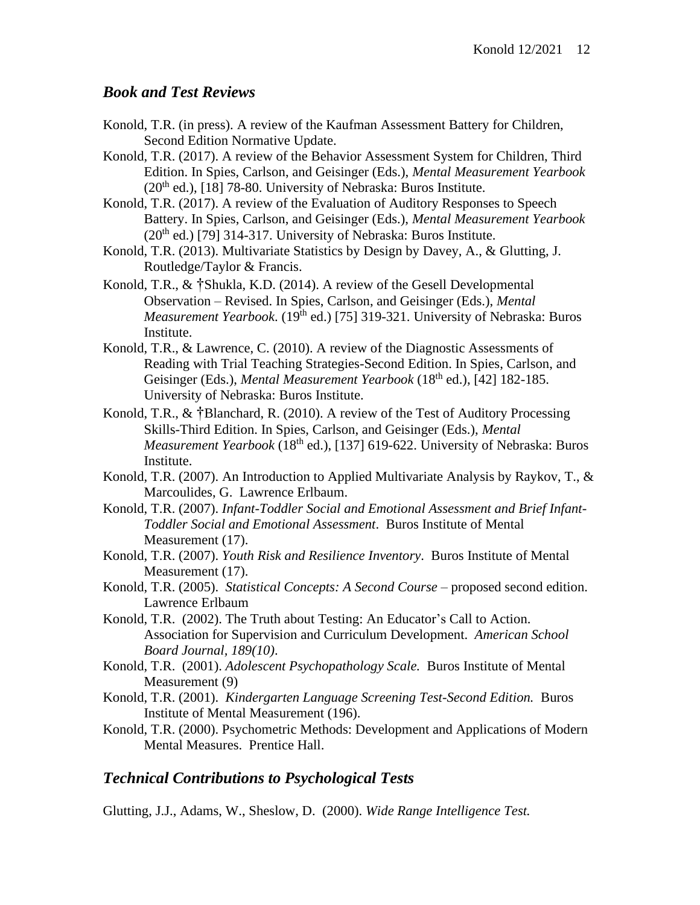# *Book and Test Reviews*

- Konold, T.R. (in press). A review of the Kaufman Assessment Battery for Children, Second Edition Normative Update.
- Konold, T.R. (2017). A review of the Behavior Assessment System for Children, Third Edition. In Spies, Carlson, and Geisinger (Eds.), *Mental Measurement Yearbook*  $(20<sup>th</sup>$  ed.), [18] 78-80. University of Nebraska: Buros Institute.
- Konold, T.R. (2017). A review of the Evaluation of Auditory Responses to Speech Battery. In Spies, Carlson, and Geisinger (Eds.), *Mental Measurement Yearbook*  $(20<sup>th</sup>$  ed.) [79] 314-317. University of Nebraska: Buros Institute.
- Konold, T.R. (2013). Multivariate Statistics by Design by Davey, A., & Glutting, J. Routledge/Taylor & Francis.
- Konold, T.R., & †Shukla, K.D. (2014). A review of the Gesell Developmental Observation – Revised. In Spies, Carlson, and Geisinger (Eds.), *Mental Measurement Yearbook.* (19<sup>th</sup> ed.) [75] 319-321. University of Nebraska: Buros Institute.
- Konold, T.R., & Lawrence, C. (2010). A review of the Diagnostic Assessments of Reading with Trial Teaching Strategies-Second Edition. In Spies, Carlson, and Geisinger (Eds.), *Mental Measurement Yearbook* (18<sup>th</sup> ed.), [42] 182-185. University of Nebraska: Buros Institute.
- Konold, T.R., & †Blanchard, R. (2010). A review of the Test of Auditory Processing Skills-Third Edition. In Spies, Carlson, and Geisinger (Eds.), *Mental Measurement Yearbook* (18<sup>th</sup> ed.), [137] 619-622. University of Nebraska: Buros Institute.
- Konold, T.R. (2007). An Introduction to Applied Multivariate Analysis by Raykov, T., & Marcoulides, G. Lawrence Erlbaum.
- Konold, T.R. (2007). *Infant-Toddler Social and Emotional Assessment and Brief Infant-Toddler Social and Emotional Assessment*. Buros Institute of Mental Measurement (17).
- Konold, T.R. (2007). *Youth Risk and Resilience Inventory*. Buros Institute of Mental Measurement (17).
- Konold, T.R. (2005). *Statistical Concepts: A Second Course* proposed second edition. Lawrence Erlbaum
- Konold, T.R. (2002). The Truth about Testing: An Educator's Call to Action. Association for Supervision and Curriculum Development. *American School Board Journal, 189(10)*.
- Konold, T.R. (2001). *Adolescent Psychopathology Scale.* Buros Institute of Mental Measurement (9)
- Konold, T.R. (2001). *Kindergarten Language Screening Test-Second Edition.* Buros Institute of Mental Measurement (196).
- Konold, T.R. (2000). Psychometric Methods: Development and Applications of Modern Mental Measures. Prentice Hall.

# *Technical Contributions to Psychological Tests*

Glutting, J.J., Adams, W., Sheslow, D. (2000). *Wide Range Intelligence Test.*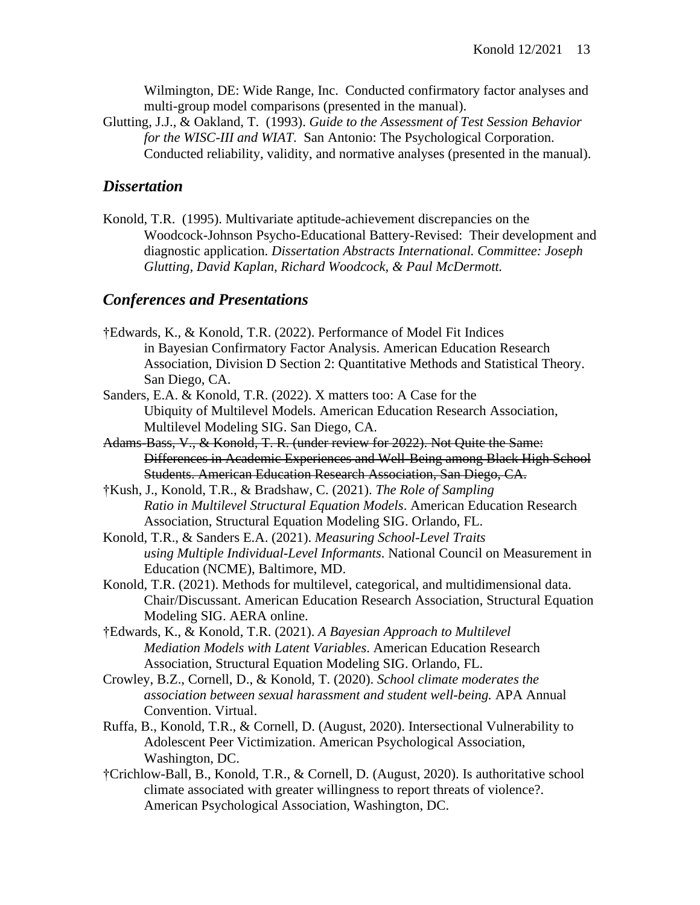Wilmington, DE: Wide Range, Inc. Conducted confirmatory factor analyses and multi-group model comparisons (presented in the manual).

Glutting, J.J., & Oakland, T. (1993). *Guide to the Assessment of Test Session Behavior for the WISC-III and WIAT*. San Antonio: The Psychological Corporation. Conducted reliability, validity, and normative analyses (presented in the manual).

# *Dissertation*

Konold, T.R. (1995). Multivariate aptitude-achievement discrepancies on the Woodcock-Johnson Psycho-Educational Battery-Revised: Their development and diagnostic application. *Dissertation Abstracts International. Committee: Joseph Glutting, David Kaplan, Richard Woodcock, & Paul McDermott.*

# *Conferences and Presentations*

- †Edwards, K., & Konold, T.R. (2022). Performance of Model Fit Indices in Bayesian Confirmatory Factor Analysis. American Education Research Association, Division D Section 2: Quantitative Methods and Statistical Theory. San Diego, CA.
- Sanders, E.A. & Konold, T.R. (2022). X matters too: A Case for the Ubiquity of Multilevel Models. American Education Research Association, Multilevel Modeling SIG. San Diego, CA.
- Adams-Bass, V., & Konold, T. R. (under review for 2022). Not Quite the Same: Differences in Academic Experiences and Well-Being among Black High School Students. American Education Research Association, San Diego, CA.
- †Kush, J., Konold, T.R., & Bradshaw, C. (2021). *The Role of Sampling Ratio in Multilevel Structural Equation Models*. American Education Research Association, Structural Equation Modeling SIG. Orlando, FL.
- Konold, T.R., & Sanders E.A. (2021). *Measuring School-Level Traits using Multiple Individual-Level Informants*. National Council on Measurement in Education (NCME), Baltimore, MD.
- Konold, T.R. (2021). Methods for multilevel, categorical, and multidimensional data. Chair/Discussant. American Education Research Association, Structural Equation Modeling SIG. AERA online.
- †Edwards, K., & Konold, T.R. (2021). *A Bayesian Approach to Multilevel Mediation Models with Latent Variables*. American Education Research Association, Structural Equation Modeling SIG. Orlando, FL.
- Crowley, B.Z., Cornell, D., & Konold, T. (2020). *School climate moderates the association between sexual harassment and student well-being.* APA Annual Convention. Virtual.
- Ruffa, B., Konold, T.R., & Cornell, D. (August, 2020). Intersectional Vulnerability to Adolescent Peer Victimization. American Psychological Association, Washington, DC.
- †Crichlow-Ball, B., Konold, T.R., & Cornell, D. (August, 2020). Is authoritative school climate associated with greater willingness to report threats of violence?. American Psychological Association, Washington, DC.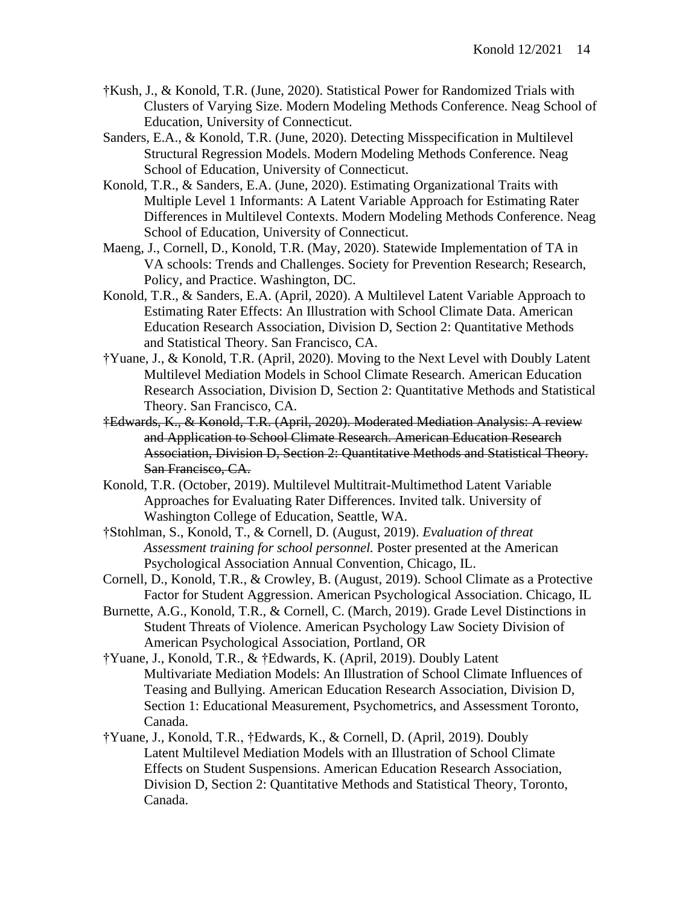- †Kush, J., & Konold, T.R. (June, 2020). Statistical Power for Randomized Trials with Clusters of Varying Size. Modern Modeling Methods Conference. Neag School of Education, University of Connecticut.
- Sanders, E.A., & Konold, T.R. (June, 2020). Detecting Misspecification in Multilevel Structural Regression Models. Modern Modeling Methods Conference. Neag School of Education, University of Connecticut.
- Konold, T.R., & Sanders, E.A. (June, 2020). Estimating Organizational Traits with Multiple Level 1 Informants: A Latent Variable Approach for Estimating Rater Differences in Multilevel Contexts. Modern Modeling Methods Conference. Neag School of Education, University of Connecticut.
- Maeng, J., Cornell, D., Konold, T.R. (May, 2020). Statewide Implementation of TA in VA schools: Trends and Challenges. Society for Prevention Research; Research, Policy, and Practice. Washington, DC.
- Konold, T.R., & Sanders, E.A. (April, 2020). A Multilevel Latent Variable Approach to Estimating Rater Effects: An Illustration with School Climate Data. American Education Research Association, Division D, Section 2: Quantitative Methods and Statistical Theory. San Francisco, CA.
- †Yuane, J., & Konold, T.R. (April, 2020). Moving to the Next Level with Doubly Latent Multilevel Mediation Models in School Climate Research. American Education Research Association, Division D, Section 2: Quantitative Methods and Statistical Theory. San Francisco, CA.
- †Edwards, K., & Konold, T.R. (April, 2020). Moderated Mediation Analysis: A review and Application to School Climate Research. American Education Research Association, Division D, Section 2: Quantitative Methods and Statistical Theory. San Francisco, CA.
- Konold, T.R. (October, 2019). Multilevel Multitrait-Multimethod Latent Variable Approaches for Evaluating Rater Differences. Invited talk. University of Washington College of Education, Seattle, WA.
- †Stohlman, S., Konold, T., & Cornell, D. (August, 2019). *Evaluation of threat Assessment training for school personnel.* Poster presented at the American Psychological Association Annual Convention, Chicago, IL.
- Cornell, D., Konold, T.R., & Crowley, B. (August, 2019). School Climate as a Protective Factor for Student Aggression. American Psychological Association. Chicago, IL
- Burnette, A.G., Konold, T.R., & Cornell, C. (March, 2019). Grade Level Distinctions in Student Threats of Violence. American Psychology Law Society Division of American Psychological Association, Portland, OR
- †Yuane, J., Konold, T.R., & †Edwards, K. (April, 2019). Doubly Latent Multivariate Mediation Models: An Illustration of School Climate Influences of Teasing and Bullying. American Education Research Association, Division D, Section 1: Educational Measurement, Psychometrics, and Assessment Toronto, Canada.
- †Yuane, J., Konold, T.R., †Edwards, K., & Cornell, D. (April, 2019). Doubly Latent Multilevel Mediation Models with an Illustration of School Climate Effects on Student Suspensions. American Education Research Association, Division D, Section 2: Quantitative Methods and Statistical Theory, Toronto, Canada.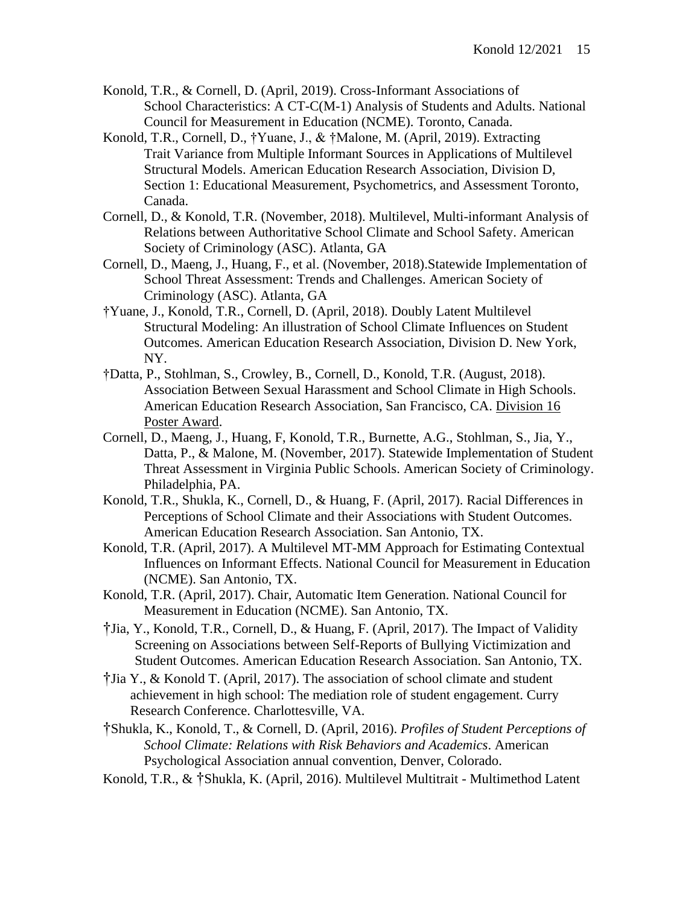- Konold, T.R., & Cornell, D. (April, 2019). Cross-Informant Associations of School Characteristics: A CT-C(M-1) Analysis of Students and Adults. National Council for Measurement in Education (NCME). Toronto, Canada.
- Konold, T.R., Cornell, D., †Yuane, J., & †Malone, M. (April, 2019). Extracting Trait Variance from Multiple Informant Sources in Applications of Multilevel Structural Models. American Education Research Association, Division D, Section 1: Educational Measurement, Psychometrics, and Assessment Toronto, Canada.
- Cornell, D., & Konold, T.R. (November, 2018). Multilevel, Multi-informant Analysis of Relations between Authoritative School Climate and School Safety. American Society of Criminology (ASC). Atlanta, GA
- Cornell, D., Maeng, J., Huang, F., et al. (November, 2018).Statewide Implementation of School Threat Assessment: Trends and Challenges. American Society of Criminology (ASC). Atlanta, GA
- †Yuane, J., Konold, T.R., Cornell, D. (April, 2018). Doubly Latent Multilevel Structural Modeling: An illustration of School Climate Influences on Student Outcomes. American Education Research Association, Division D. New York, NY.
- †Datta, P., Stohlman, S., Crowley, B., Cornell, D., Konold, T.R. (August, 2018). Association Between Sexual Harassment and School Climate in High Schools. American Education Research Association, San Francisco, CA. Division 16 Poster Award.
- Cornell, D., Maeng, J., Huang, F, Konold, T.R., Burnette, A.G., Stohlman, S., Jia, Y., Datta, P., & Malone, M. (November, 2017). Statewide Implementation of Student Threat Assessment in Virginia Public Schools. American Society of Criminology. Philadelphia, PA.
- Konold, T.R., Shukla, K., Cornell, D., & Huang, F. (April, 2017). Racial Differences in Perceptions of School Climate and their Associations with Student Outcomes. American Education Research Association. San Antonio, TX.
- Konold, T.R. (April, 2017). A Multilevel MT-MM Approach for Estimating Contextual Influences on Informant Effects. National Council for Measurement in Education (NCME). San Antonio, TX.
- Konold, T.R. (April, 2017). Chair, Automatic Item Generation. National Council for Measurement in Education (NCME). San Antonio, TX.
- †Jia, Y., Konold, T.R., Cornell, D., & Huang, F. (April, 2017). The Impact of Validity Screening on Associations between Self-Reports of Bullying Victimization and Student Outcomes. American Education Research Association. San Antonio, TX.
- †Jia Y., & Konold T. (April, 2017). The association of school climate and student achievement in high school: The mediation role of student engagement. Curry Research Conference. Charlottesville, VA.
- †Shukla, K., Konold, T., & Cornell, D. (April, 2016). *Profiles of Student Perceptions of School Climate: Relations with Risk Behaviors and Academics*. American Psychological Association annual convention, Denver, Colorado.
- Konold, T.R., & †Shukla, K. (April, 2016). Multilevel Multitrait Multimethod Latent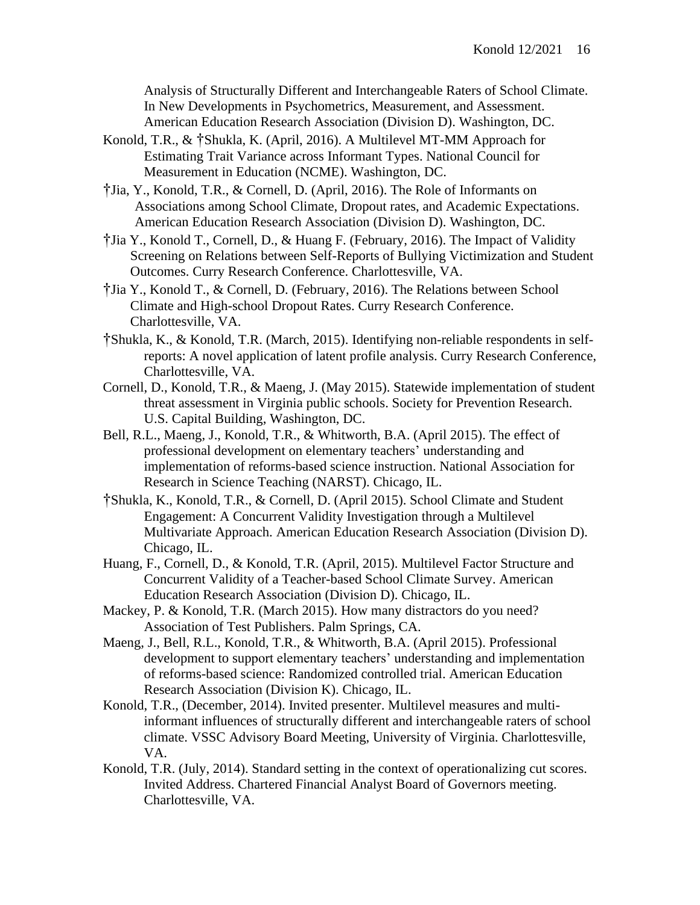Analysis of Structurally Different and Interchangeable Raters of School Climate. In New Developments in Psychometrics, Measurement, and Assessment. American Education Research Association (Division D). Washington, DC.

- Konold, T.R., & †Shukla, K. (April, 2016). A Multilevel MT-MM Approach for Estimating Trait Variance across Informant Types. National Council for Measurement in Education (NCME). Washington, DC.
- †Jia, Y., Konold, T.R., & Cornell, D. (April, 2016). The Role of Informants on Associations among School Climate, Dropout rates, and Academic Expectations. American Education Research Association (Division D). Washington, DC.
- †Jia Y., Konold T., Cornell, D., & Huang F. (February, 2016). The Impact of Validity Screening on Relations between Self-Reports of Bullying Victimization and Student Outcomes. Curry Research Conference. Charlottesville, VA.
- †Jia Y., Konold T., & Cornell, D. (February, 2016). The Relations between School Climate and High-school Dropout Rates. Curry Research Conference. Charlottesville, VA.
- †Shukla, K., & Konold, T.R. (March, 2015). Identifying non-reliable respondents in selfreports: A novel application of latent profile analysis. Curry Research Conference, Charlottesville, VA.
- Cornell, D., Konold, T.R., & Maeng, J. (May 2015). Statewide implementation of student threat assessment in Virginia public schools. Society for Prevention Research. U.S. Capital Building, Washington, DC.
- Bell, R.L., Maeng, J., Konold, T.R., & Whitworth, B.A. (April 2015). The effect of professional development on elementary teachers' understanding and implementation of reforms-based science instruction. National Association for Research in Science Teaching (NARST). Chicago, IL.
- †Shukla, K., Konold, T.R., & Cornell, D. (April 2015). School Climate and Student Engagement: A Concurrent Validity Investigation through a Multilevel Multivariate Approach. American Education Research Association (Division D). Chicago, IL.
- Huang, F., Cornell, D., & Konold, T.R. (April, 2015). Multilevel Factor Structure and Concurrent Validity of a Teacher-based School Climate Survey. American Education Research Association (Division D). Chicago, IL.
- Mackey, P. & Konold, T.R. (March 2015). How many distractors do you need? Association of Test Publishers. Palm Springs, CA.
- Maeng, J., Bell, R.L., Konold, T.R., & Whitworth, B.A. (April 2015). Professional development to support elementary teachers' understanding and implementation of reforms-based science: Randomized controlled trial. American Education Research Association (Division K). Chicago, IL.
- Konold, T.R., (December, 2014). Invited presenter. Multilevel measures and multiinformant influences of structurally different and interchangeable raters of school climate. VSSC Advisory Board Meeting, University of Virginia. Charlottesville, VA.
- Konold, T.R. (July, 2014). Standard setting in the context of operationalizing cut scores. Invited Address. Chartered Financial Analyst Board of Governors meeting. Charlottesville, VA.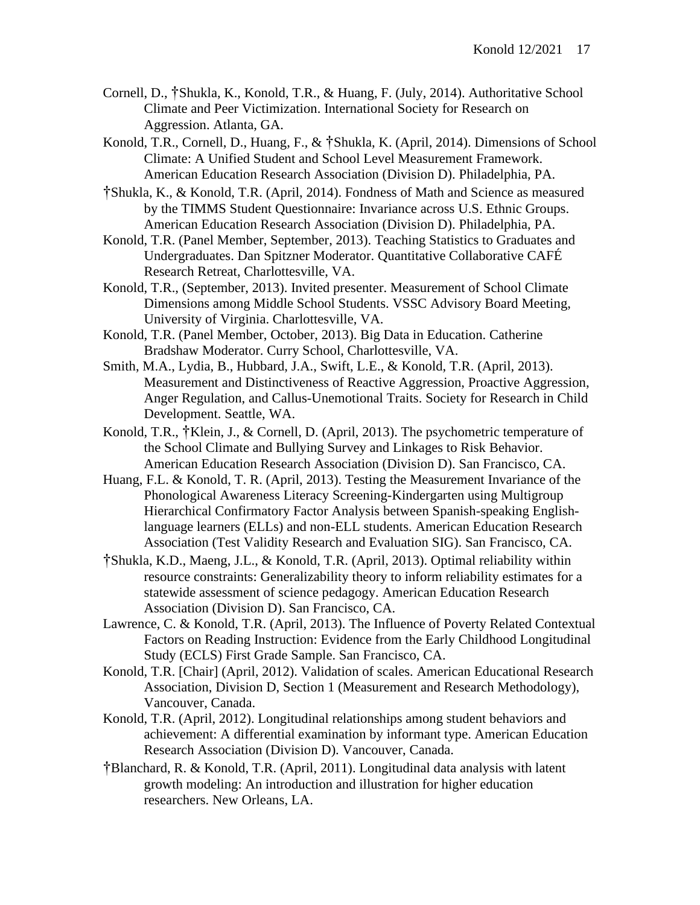- Cornell, D., †Shukla, K., Konold, T.R., & Huang, F. (July, 2014). Authoritative School Climate and Peer Victimization. International Society for Research on Aggression. Atlanta, GA.
- Konold, T.R., Cornell, D., Huang, F., & †Shukla, K. (April, 2014). Dimensions of School Climate: A Unified Student and School Level Measurement Framework. American Education Research Association (Division D). Philadelphia, PA.
- †Shukla, K., & Konold, T.R. (April, 2014). Fondness of Math and Science as measured by the TIMMS Student Questionnaire: Invariance across U.S. Ethnic Groups. American Education Research Association (Division D). Philadelphia, PA.
- Konold, T.R. (Panel Member, September, 2013). Teaching Statistics to Graduates and Undergraduates. Dan Spitzner Moderator. Quantitative Collaborative CAFÉ Research Retreat, Charlottesville, VA.
- Konold, T.R., (September, 2013). Invited presenter. Measurement of School Climate Dimensions among Middle School Students. VSSC Advisory Board Meeting, University of Virginia. Charlottesville, VA.
- Konold, T.R. (Panel Member, October, 2013). Big Data in Education. Catherine Bradshaw Moderator. Curry School, Charlottesville, VA.
- Smith, M.A., Lydia, B., Hubbard, J.A., Swift, L.E., & Konold, T.R. (April, 2013). Measurement and Distinctiveness of Reactive Aggression, Proactive Aggression, Anger Regulation, and Callus-Unemotional Traits. Society for Research in Child Development. Seattle, WA.
- Konold, T.R., †Klein, J., & Cornell, D. (April, 2013). The psychometric temperature of the School Climate and Bullying Survey and Linkages to Risk Behavior. American Education Research Association (Division D). San Francisco, CA.
- Huang, F.L. & Konold, T. R. (April, 2013). Testing the Measurement Invariance of the Phonological Awareness Literacy Screening-Kindergarten using Multigroup Hierarchical Confirmatory Factor Analysis between Spanish-speaking Englishlanguage learners (ELLs) and non-ELL students. American Education Research Association (Test Validity Research and Evaluation SIG). San Francisco, CA.
- †Shukla, K.D., Maeng, J.L., & Konold, T.R. (April, 2013). Optimal reliability within resource constraints: Generalizability theory to inform reliability estimates for a statewide assessment of science pedagogy. American Education Research Association (Division D). San Francisco, CA.
- Lawrence, C. & Konold, T.R. (April, 2013). The Influence of Poverty Related Contextual Factors on Reading Instruction: Evidence from the Early Childhood Longitudinal Study (ECLS) First Grade Sample. San Francisco, CA.
- Konold, T.R. [Chair] (April, 2012). Validation of scales. American Educational Research Association, Division D, Section 1 (Measurement and Research Methodology), Vancouver, Canada.
- Konold, T.R. (April, 2012). Longitudinal relationships among student behaviors and achievement: A differential examination by informant type. American Education Research Association (Division D). Vancouver, Canada.
- †Blanchard, R. & Konold, T.R. (April, 2011). Longitudinal data analysis with latent growth modeling: An introduction and illustration for higher education researchers. New Orleans, LA.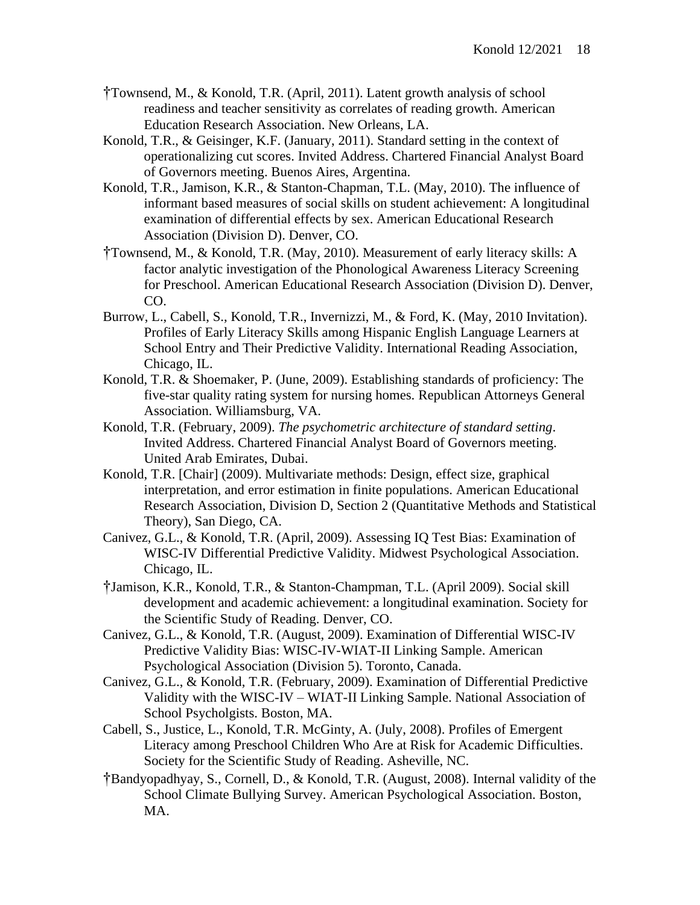- †Townsend, M., & Konold, T.R. (April, 2011). Latent growth analysis of school readiness and teacher sensitivity as correlates of reading growth. American Education Research Association. New Orleans, LA.
- Konold, T.R., & Geisinger, K.F. (January, 2011). Standard setting in the context of operationalizing cut scores. Invited Address. Chartered Financial Analyst Board of Governors meeting. Buenos Aires, Argentina.
- Konold, T.R., Jamison, K.R., & Stanton-Chapman, T.L. (May, 2010). The influence of informant based measures of social skills on student achievement: A longitudinal examination of differential effects by sex. American Educational Research Association (Division D). Denver, CO.
- †Townsend, M., & Konold, T.R. (May, 2010). Measurement of early literacy skills: A factor analytic investigation of the Phonological Awareness Literacy Screening for Preschool. American Educational Research Association (Division D). Denver, CO.
- Burrow, L., Cabell, S., Konold, T.R., Invernizzi, M., & Ford, K. (May, 2010 Invitation). Profiles of Early Literacy Skills among Hispanic English Language Learners at School Entry and Their Predictive Validity. International Reading Association, Chicago, IL.
- Konold, T.R. & Shoemaker, P. (June, 2009). Establishing standards of proficiency: The five-star quality rating system for nursing homes. Republican Attorneys General Association. Williamsburg, VA.
- Konold, T.R. (February, 2009). *The psychometric architecture of standard setting*. Invited Address. Chartered Financial Analyst Board of Governors meeting. United Arab Emirates, Dubai.
- Konold, T.R. [Chair] (2009). Multivariate methods: Design, effect size, graphical interpretation, and error estimation in finite populations. American Educational Research Association, Division D, Section 2 (Quantitative Methods and Statistical Theory), San Diego, CA.
- Canivez, G.L., & Konold, T.R. (April, 2009). Assessing IQ Test Bias: Examination of WISC-IV Differential Predictive Validity. Midwest Psychological Association. Chicago, IL.
- †Jamison, K.R., Konold, T.R., & Stanton-Champman, T.L. (April 2009). Social skill development and academic achievement: a longitudinal examination. Society for the Scientific Study of Reading. Denver, CO.
- Canivez, G.L., & Konold, T.R. (August, 2009). Examination of Differential WISC-IV Predictive Validity Bias: WISC-IV-WIAT-II Linking Sample. American Psychological Association (Division 5). Toronto, Canada.
- Canivez, G.L., & Konold, T.R. (February, 2009). Examination of Differential Predictive Validity with the WISC-IV – WIAT-II Linking Sample. National Association of School Psycholgists. Boston, MA.
- Cabell, S., Justice, L., Konold, T.R. McGinty, A. (July, 2008). Profiles of Emergent Literacy among Preschool Children Who Are at Risk for Academic Difficulties. Society for the Scientific Study of Reading. Asheville, NC.
- †Bandyopadhyay, S., Cornell, D., & Konold, T.R. (August, 2008). Internal validity of the School Climate Bullying Survey. American Psychological Association. Boston, MA.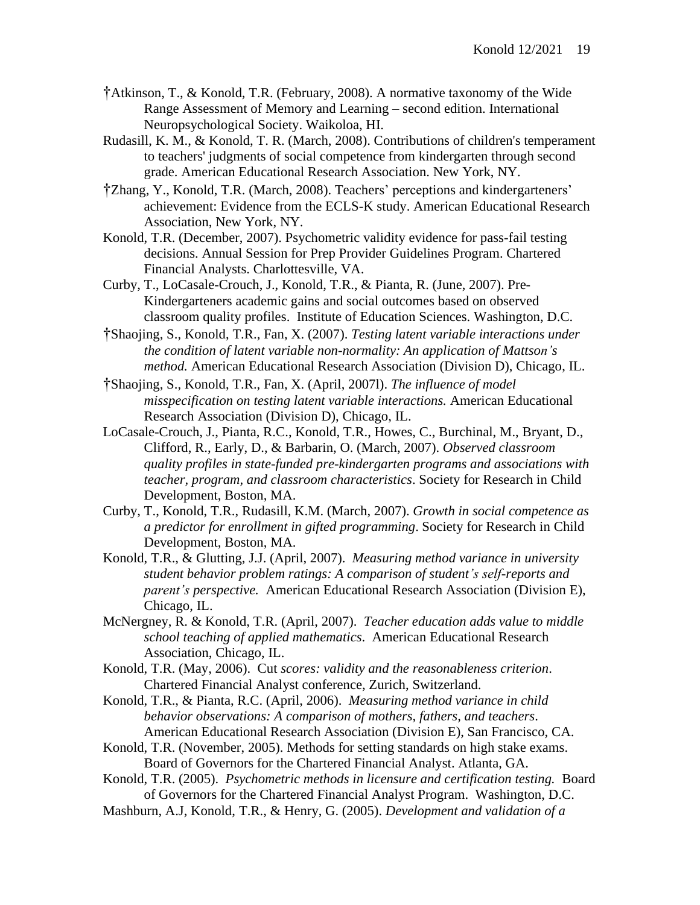- †Atkinson, T., & Konold, T.R. (February, 2008). A normative taxonomy of the Wide Range Assessment of Memory and Learning – second edition. International Neuropsychological Society. Waikoloa, HI.
- Rudasill, K. M., & Konold, T. R. (March, 2008). Contributions of children's temperament to teachers' judgments of social competence from kindergarten through second grade. American Educational Research Association. New York, NY.
- †Zhang, Y., Konold, T.R. (March, 2008). Teachers' perceptions and kindergarteners' achievement: Evidence from the ECLS-K study. American Educational Research Association, New York, NY.
- Konold, T.R. (December, 2007). Psychometric validity evidence for pass-fail testing decisions. Annual Session for Prep Provider Guidelines Program. Chartered Financial Analysts. Charlottesville, VA.
- Curby, T., LoCasale-Crouch, J., Konold, T.R., & Pianta, R. (June, 2007). Pre-Kindergarteners academic gains and social outcomes based on observed classroom quality profiles. Institute of Education Sciences. Washington, D.C.
- †Shaojing, S., Konold, T.R., Fan, X. (2007). *Testing latent variable interactions under the condition of latent variable non-normality: An application of Mattson's method.* American Educational Research Association (Division D), Chicago, IL.
- †Shaojing, S., Konold, T.R., Fan, X. (April, 2007l). *The influence of model misspecification on testing latent variable interactions.* American Educational Research Association (Division D), Chicago, IL.
- LoCasale-Crouch, J., Pianta, R.C., Konold, T.R., Howes, C., Burchinal, M., Bryant, D., Clifford, R., Early, D., & Barbarin, O. (March, 2007). *Observed classroom quality profiles in state-funded pre-kindergarten programs and associations with teacher, program, and classroom characteristics*. Society for Research in Child Development, Boston, MA.
- Curby, T., Konold, T.R., Rudasill, K.M. (March, 2007). *Growth in social competence as a predictor for enrollment in gifted programming*. Society for Research in Child Development, Boston, MA.
- Konold, T.R., & Glutting, J.J. (April, 2007). *Measuring method variance in university student behavior problem ratings: A comparison of student's self-reports and parent's perspective.* American Educational Research Association (Division E), Chicago, IL.
- McNergney, R. & Konold, T.R. (April, 2007). *Teacher education adds value to middle school teaching of applied mathematics*. American Educational Research Association, Chicago, IL.
- Konold, T.R. (May, 2006). Cut *scores: validity and the reasonableness criterion*. Chartered Financial Analyst conference, Zurich, Switzerland.
- Konold, T.R., & Pianta, R.C. (April, 2006). *Measuring method variance in child behavior observations: A comparison of mothers, fathers, and teachers*. American Educational Research Association (Division E), San Francisco, CA.
- Konold, T.R. (November, 2005). Methods for setting standards on high stake exams. Board of Governors for the Chartered Financial Analyst. Atlanta, GA.
- Konold, T.R. (2005). *Psychometric methods in licensure and certification testing.* Board of Governors for the Chartered Financial Analyst Program. Washington, D.C.
- Mashburn, A.J, Konold, T.R., & Henry, G. (2005). *Development and validation of a*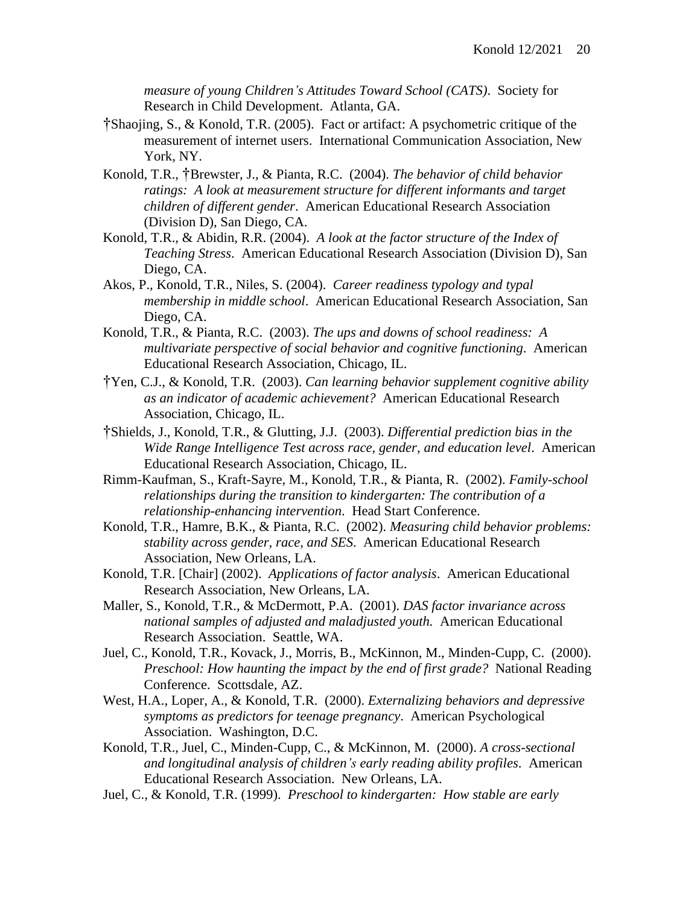*measure of young Children's Attitudes Toward School (CATS)*. Society for Research in Child Development. Atlanta, GA.

- †Shaojing, S., & Konold, T.R. (2005). Fact or artifact: A psychometric critique of the measurement of internet users. International Communication Association, New York, NY.
- Konold, T.R., †Brewster, J., & Pianta, R.C. (2004). *The behavior of child behavior ratings: A look at measurement structure for different informants and target children of different gender*. American Educational Research Association (Division D), San Diego, CA.
- Konold, T.R., & Abidin, R.R. (2004). *A look at the factor structure of the Index of Teaching Stress*. American Educational Research Association (Division D), San Diego, CA.
- Akos, P., Konold, T.R., Niles, S. (2004). *Career readiness typology and typal membership in middle school*. American Educational Research Association, San Diego, CA.
- Konold, T.R., & Pianta, R.C. (2003). *The ups and downs of school readiness: A multivariate perspective of social behavior and cognitive functioning*. American Educational Research Association, Chicago, IL.
- †Yen, C.J., & Konold, T.R. (2003). *Can learning behavior supplement cognitive ability as an indicator of academic achievement?* American Educational Research Association, Chicago, IL.
- †Shields, J., Konold, T.R., & Glutting, J.J. (2003). *Differential prediction bias in the Wide Range Intelligence Test across race, gender, and education level*. American Educational Research Association, Chicago, IL.
- Rimm-Kaufman, S., Kraft-Sayre, M., Konold, T.R., & Pianta, R. (2002). *Family-school relationships during the transition to kindergarten: The contribution of a relationship-enhancing intervention*. Head Start Conference.
- Konold, T.R., Hamre, B.K., & Pianta, R.C. (2002). *Measuring child behavior problems: stability across gender, race, and SES*. American Educational Research Association, New Orleans, LA.
- Konold, T.R. [Chair] (2002). *Applications of factor analysis*. American Educational Research Association, New Orleans, LA.
- Maller, S., Konold, T.R., & McDermott, P.A. (2001). *DAS factor invariance across national samples of adjusted and maladjusted youth.* American Educational Research Association. Seattle, WA.
- Juel, C., Konold, T.R., Kovack, J., Morris, B., McKinnon, M., Minden-Cupp, C. (2000). *Preschool: How haunting the impact by the end of first grade?* National Reading Conference. Scottsdale, AZ.
- West, H.A., Loper, A., & Konold, T.R. (2000). *Externalizing behaviors and depressive symptoms as predictors for teenage pregnancy*. American Psychological Association. Washington, D.C.
- Konold, T.R., Juel, C., Minden-Cupp, C., & McKinnon, M. (2000). *A cross-sectional and longitudinal analysis of children's early reading ability profiles*. American Educational Research Association. New Orleans, LA.
- Juel, C., & Konold, T.R. (1999). *Preschool to kindergarten: How stable are early*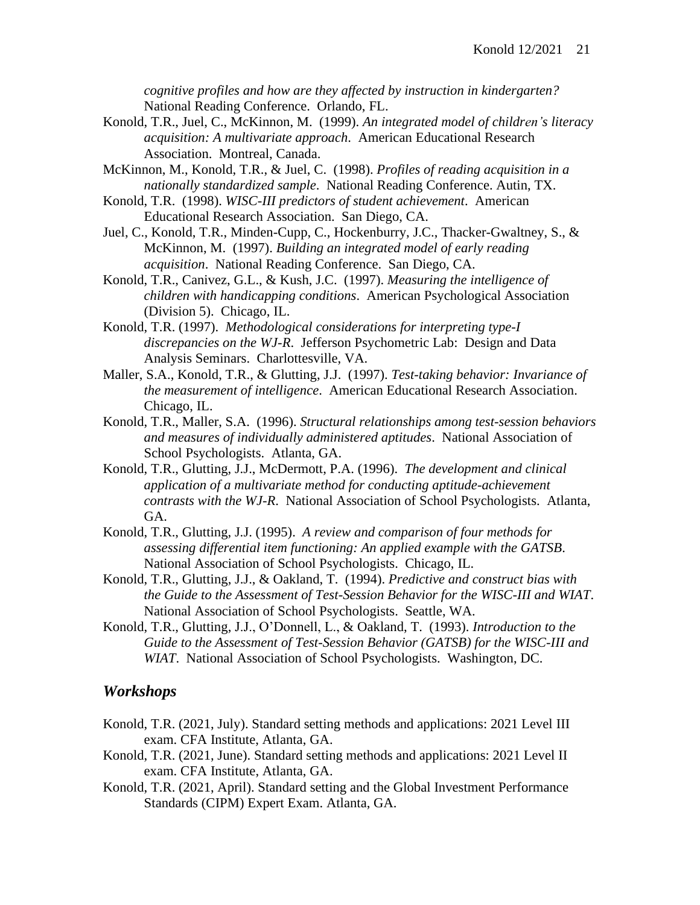*cognitive profiles and how are they affected by instruction in kindergarten?* National Reading Conference. Orlando, FL.

- Konold, T.R., Juel, C., McKinnon, M. (1999). *An integrated model of children's literacy acquisition: A multivariate approach*. American Educational Research Association. Montreal, Canada.
- McKinnon, M., Konold, T.R., & Juel, C. (1998). *Profiles of reading acquisition in a nationally standardized sample*. National Reading Conference. Autin, TX.
- Konold, T.R. (1998). *WISC-III predictors of student achievement*. American Educational Research Association. San Diego, CA.
- Juel, C., Konold, T.R., Minden-Cupp, C., Hockenburry, J.C., Thacker-Gwaltney, S., & McKinnon, M. (1997). *Building an integrated model of early reading acquisition*. National Reading Conference. San Diego, CA.
- Konold, T.R., Canivez, G.L., & Kush, J.C. (1997). *Measuring the intelligence of children with handicapping conditions*. American Psychological Association (Division 5). Chicago, IL.
- Konold, T.R. (1997). *Methodological considerations for interpreting type-I discrepancies on the WJ-R*. Jefferson Psychometric Lab: Design and Data Analysis Seminars. Charlottesville, VA.
- Maller, S.A., Konold, T.R., & Glutting, J.J. (1997). *Test-taking behavior: Invariance of the measurement of intelligence*. American Educational Research Association. Chicago, IL.
- Konold, T.R., Maller, S.A. (1996). *Structural relationships among test-session behaviors and measures of individually administered aptitudes*. National Association of School Psychologists. Atlanta, GA.
- Konold, T.R., Glutting, J.J., McDermott, P.A. (1996). *The development and clinical application of a multivariate method for conducting aptitude-achievement contrasts with the WJ-R*. National Association of School Psychologists. Atlanta, GA.
- Konold, T.R., Glutting, J.J. (1995). *A review and comparison of four methods for assessing differential item functioning: An applied example with the GATSB*. National Association of School Psychologists. Chicago, IL.
- Konold, T.R., Glutting, J.J., & Oakland, T. (1994). *Predictive and construct bias with the Guide to the Assessment of Test-Session Behavior for the WISC-III and WIAT*. National Association of School Psychologists. Seattle, WA.
- Konold, T.R., Glutting, J.J., O'Donnell, L., & Oakland, T. (1993). *Introduction to the Guide to the Assessment of Test-Session Behavior (GATSB) for the WISC-III and WIAT*. National Association of School Psychologists. Washington, DC.

#### *Workshops*

- Konold, T.R. (2021, July). Standard setting methods and applications: 2021 Level III exam. CFA Institute, Atlanta, GA.
- Konold, T.R. (2021, June). Standard setting methods and applications: 2021 Level II exam. CFA Institute, Atlanta, GA.
- Konold, T.R. (2021, April). Standard setting and the Global Investment Performance Standards (CIPM) Expert Exam. Atlanta, GA.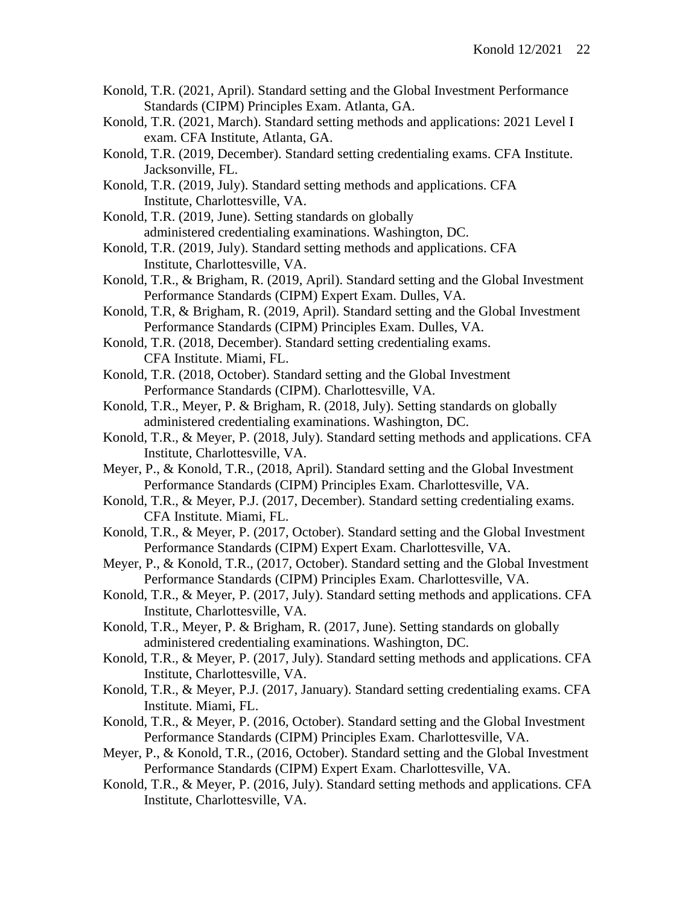- Konold, T.R. (2021, April). Standard setting and the Global Investment Performance Standards (CIPM) Principles Exam. Atlanta, GA.
- Konold, T.R. (2021, March). Standard setting methods and applications: 2021 Level I exam. CFA Institute, Atlanta, GA.
- Konold, T.R. (2019, December). Standard setting credentialing exams. CFA Institute. Jacksonville, FL.
- Konold, T.R. (2019, July). Standard setting methods and applications. CFA Institute, Charlottesville, VA.
- Konold, T.R. (2019, June). Setting standards on globally administered credentialing examinations. Washington, DC.
- Konold, T.R. (2019, July). Standard setting methods and applications. CFA Institute, Charlottesville, VA.
- Konold, T.R., & Brigham, R. (2019, April). Standard setting and the Global Investment Performance Standards (CIPM) Expert Exam. Dulles, VA.
- Konold, T.R, & Brigham, R. (2019, April). Standard setting and the Global Investment Performance Standards (CIPM) Principles Exam. Dulles, VA.
- Konold, T.R. (2018, December). Standard setting credentialing exams. CFA Institute. Miami, FL.
- Konold, T.R. (2018, October). Standard setting and the Global Investment Performance Standards (CIPM). Charlottesville, VA.
- Konold, T.R., Meyer, P. & Brigham, R. (2018, July). Setting standards on globally administered credentialing examinations. Washington, DC.
- Konold, T.R., & Meyer, P. (2018, July). Standard setting methods and applications. CFA Institute, Charlottesville, VA.
- Meyer, P., & Konold, T.R., (2018, April). Standard setting and the Global Investment Performance Standards (CIPM) Principles Exam. Charlottesville, VA.
- Konold, T.R., & Meyer, P.J. (2017, December). Standard setting credentialing exams. CFA Institute. Miami, FL.
- Konold, T.R., & Meyer, P. (2017, October). Standard setting and the Global Investment Performance Standards (CIPM) Expert Exam. Charlottesville, VA.
- Meyer, P., & Konold, T.R., (2017, October). Standard setting and the Global Investment Performance Standards (CIPM) Principles Exam. Charlottesville, VA.
- Konold, T.R., & Meyer, P. (2017, July). Standard setting methods and applications. CFA Institute, Charlottesville, VA.
- Konold, T.R., Meyer, P. & Brigham, R. (2017, June). Setting standards on globally administered credentialing examinations. Washington, DC.
- Konold, T.R., & Meyer, P. (2017, July). Standard setting methods and applications. CFA Institute, Charlottesville, VA.
- Konold, T.R., & Meyer, P.J. (2017, January). Standard setting credentialing exams. CFA Institute. Miami, FL.
- Konold, T.R., & Meyer, P. (2016, October). Standard setting and the Global Investment Performance Standards (CIPM) Principles Exam. Charlottesville, VA.
- Meyer, P., & Konold, T.R., (2016, October). Standard setting and the Global Investment Performance Standards (CIPM) Expert Exam. Charlottesville, VA.
- Konold, T.R., & Meyer, P. (2016, July). Standard setting methods and applications. CFA Institute, Charlottesville, VA.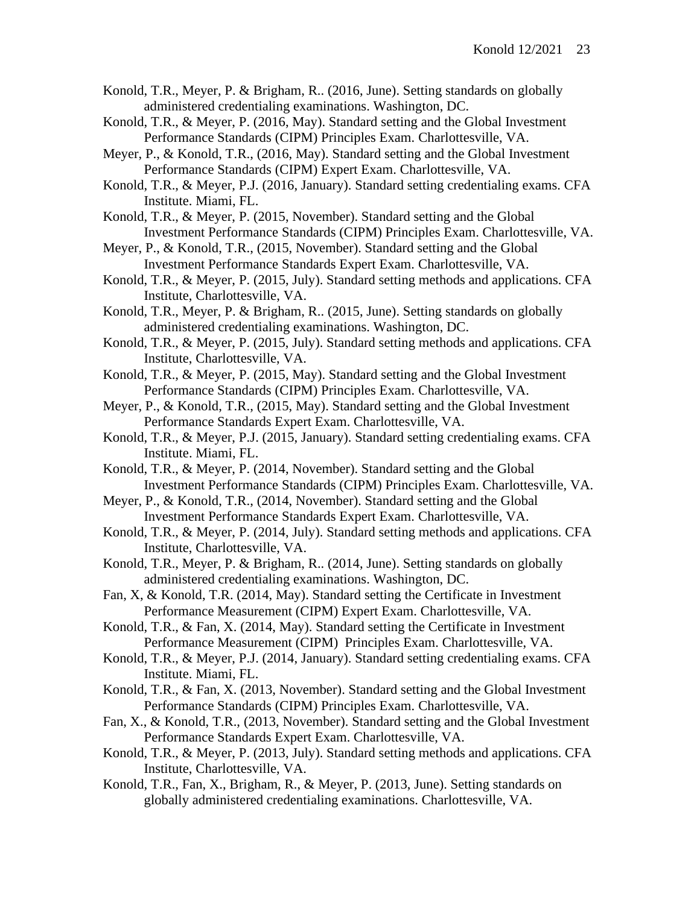- Konold, T.R., Meyer, P. & Brigham, R.. (2016, June). Setting standards on globally administered credentialing examinations. Washington, DC.
- Konold, T.R., & Meyer, P. (2016, May). Standard setting and the Global Investment Performance Standards (CIPM) Principles Exam. Charlottesville, VA.
- Meyer, P., & Konold, T.R., (2016, May). Standard setting and the Global Investment Performance Standards (CIPM) Expert Exam. Charlottesville, VA.
- Konold, T.R., & Meyer, P.J. (2016, January). Standard setting credentialing exams. CFA Institute. Miami, FL.
- Konold, T.R., & Meyer, P. (2015, November). Standard setting and the Global Investment Performance Standards (CIPM) Principles Exam. Charlottesville, VA.
- Meyer, P., & Konold, T.R., (2015, November). Standard setting and the Global Investment Performance Standards Expert Exam. Charlottesville, VA.
- Konold, T.R., & Meyer, P. (2015, July). Standard setting methods and applications. CFA Institute, Charlottesville, VA.
- Konold, T.R., Meyer, P. & Brigham, R.. (2015, June). Setting standards on globally administered credentialing examinations. Washington, DC.
- Konold, T.R., & Meyer, P. (2015, July). Standard setting methods and applications. CFA Institute, Charlottesville, VA.
- Konold, T.R., & Meyer, P. (2015, May). Standard setting and the Global Investment Performance Standards (CIPM) Principles Exam. Charlottesville, VA.
- Meyer, P., & Konold, T.R., (2015, May). Standard setting and the Global Investment Performance Standards Expert Exam. Charlottesville, VA.
- Konold, T.R., & Meyer, P.J. (2015, January). Standard setting credentialing exams. CFA Institute. Miami, FL.
- Konold, T.R., & Meyer, P. (2014, November). Standard setting and the Global Investment Performance Standards (CIPM) Principles Exam. Charlottesville, VA.
- Meyer, P., & Konold, T.R., (2014, November). Standard setting and the Global Investment Performance Standards Expert Exam. Charlottesville, VA.
- Konold, T.R., & Meyer, P. (2014, July). Standard setting methods and applications. CFA Institute, Charlottesville, VA.
- Konold, T.R., Meyer, P. & Brigham, R.. (2014, June). Setting standards on globally administered credentialing examinations. Washington, DC.
- Fan, X, & Konold, T.R. (2014, May). Standard setting the Certificate in Investment Performance Measurement (CIPM) Expert Exam. Charlottesville, VA.
- Konold, T.R., & Fan, X. (2014, May). Standard setting the Certificate in Investment Performance Measurement (CIPM) Principles Exam. Charlottesville, VA.
- Konold, T.R., & Meyer, P.J. (2014, January). Standard setting credentialing exams. CFA Institute. Miami, FL.
- Konold, T.R., & Fan, X. (2013, November). Standard setting and the Global Investment Performance Standards (CIPM) Principles Exam. Charlottesville, VA.
- Fan, X., & Konold, T.R., (2013, November). Standard setting and the Global Investment Performance Standards Expert Exam. Charlottesville, VA.
- Konold, T.R., & Meyer, P. (2013, July). Standard setting methods and applications. CFA Institute, Charlottesville, VA.
- Konold, T.R., Fan, X., Brigham, R., & Meyer, P. (2013, June). Setting standards on globally administered credentialing examinations. Charlottesville, VA.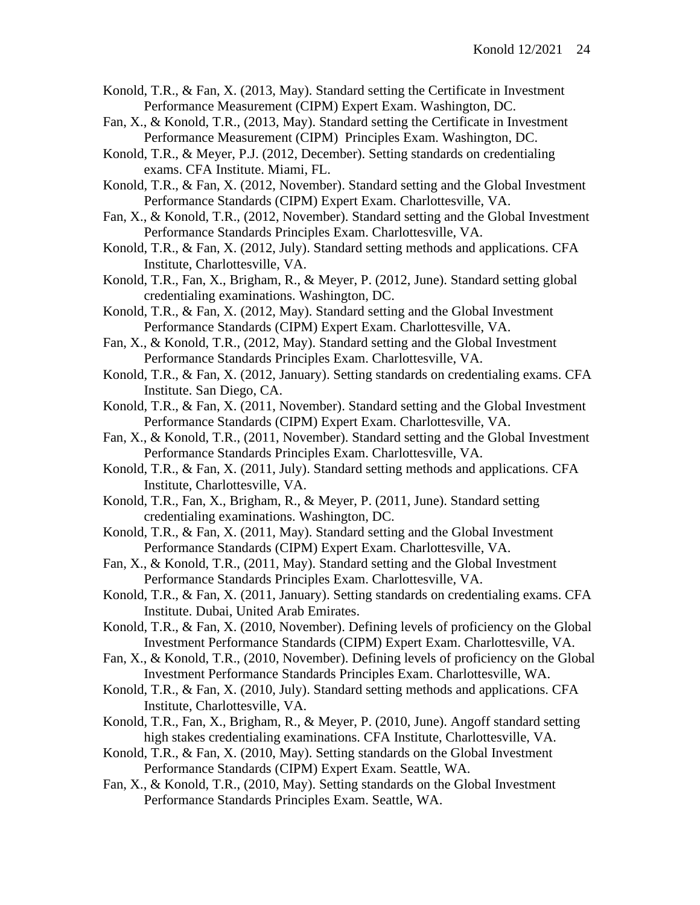- Konold, T.R., & Fan, X. (2013, May). Standard setting the Certificate in Investment Performance Measurement (CIPM) Expert Exam. Washington, DC.
- Fan, X., & Konold, T.R., (2013, May). Standard setting the Certificate in Investment Performance Measurement (CIPM) Principles Exam. Washington, DC.
- Konold, T.R., & Meyer, P.J. (2012, December). Setting standards on credentialing exams. CFA Institute. Miami, FL.
- Konold, T.R., & Fan, X. (2012, November). Standard setting and the Global Investment Performance Standards (CIPM) Expert Exam. Charlottesville, VA.
- Fan, X., & Konold, T.R., (2012, November). Standard setting and the Global Investment Performance Standards Principles Exam. Charlottesville, VA.
- Konold, T.R., & Fan, X. (2012, July). Standard setting methods and applications. CFA Institute, Charlottesville, VA.
- Konold, T.R., Fan, X., Brigham, R., & Meyer, P. (2012, June). Standard setting global credentialing examinations. Washington, DC.
- Konold, T.R., & Fan, X. (2012, May). Standard setting and the Global Investment Performance Standards (CIPM) Expert Exam. Charlottesville, VA.
- Fan, X., & Konold, T.R., (2012, May). Standard setting and the Global Investment Performance Standards Principles Exam. Charlottesville, VA.
- Konold, T.R., & Fan, X. (2012, January). Setting standards on credentialing exams. CFA Institute. San Diego, CA.
- Konold, T.R., & Fan, X. (2011, November). Standard setting and the Global Investment Performance Standards (CIPM) Expert Exam. Charlottesville, VA.
- Fan, X., & Konold, T.R., (2011, November). Standard setting and the Global Investment Performance Standards Principles Exam. Charlottesville, VA.
- Konold, T.R., & Fan, X. (2011, July). Standard setting methods and applications. CFA Institute, Charlottesville, VA.
- Konold, T.R., Fan, X., Brigham, R., & Meyer, P. (2011, June). Standard setting credentialing examinations. Washington, DC.
- Konold, T.R., & Fan, X. (2011, May). Standard setting and the Global Investment Performance Standards (CIPM) Expert Exam. Charlottesville, VA.
- Fan, X., & Konold, T.R., (2011, May). Standard setting and the Global Investment Performance Standards Principles Exam. Charlottesville, VA.
- Konold, T.R., & Fan, X. (2011, January). Setting standards on credentialing exams. CFA Institute. Dubai, United Arab Emirates.
- Konold, T.R., & Fan, X. (2010, November). Defining levels of proficiency on the Global Investment Performance Standards (CIPM) Expert Exam. Charlottesville, VA.
- Fan, X., & Konold, T.R., (2010, November). Defining levels of proficiency on the Global Investment Performance Standards Principles Exam. Charlottesville, WA.
- Konold, T.R., & Fan, X. (2010, July). Standard setting methods and applications. CFA Institute, Charlottesville, VA.
- Konold, T.R., Fan, X., Brigham, R., & Meyer, P. (2010, June). Angoff standard setting high stakes credentialing examinations. CFA Institute, Charlottesville, VA.
- Konold, T.R., & Fan, X. (2010, May). Setting standards on the Global Investment Performance Standards (CIPM) Expert Exam. Seattle, WA.
- Fan, X., & Konold, T.R., (2010, May). Setting standards on the Global Investment Performance Standards Principles Exam. Seattle, WA.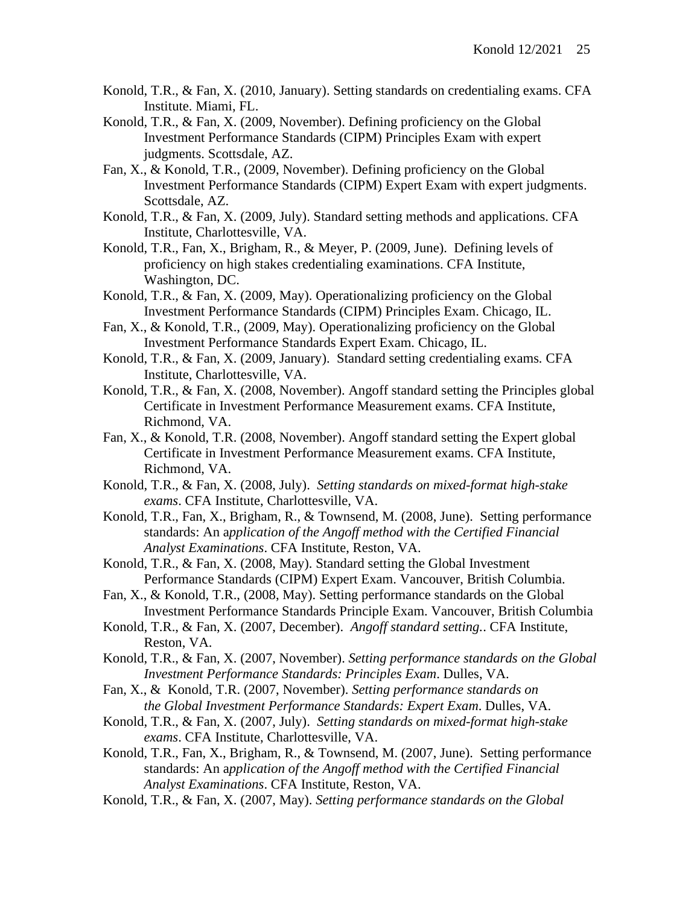- Konold, T.R., & Fan, X. (2010, January). Setting standards on credentialing exams. CFA Institute. Miami, FL.
- Konold, T.R., & Fan, X. (2009, November). Defining proficiency on the Global Investment Performance Standards (CIPM) Principles Exam with expert judgments. Scottsdale, AZ.
- Fan, X., & Konold, T.R., (2009, November). Defining proficiency on the Global Investment Performance Standards (CIPM) Expert Exam with expert judgments. Scottsdale, AZ.
- Konold, T.R., & Fan, X. (2009, July). Standard setting methods and applications. CFA Institute, Charlottesville, VA.
- Konold, T.R., Fan, X., Brigham, R., & Meyer, P. (2009, June). Defining levels of proficiency on high stakes credentialing examinations. CFA Institute, Washington, DC.
- Konold, T.R., & Fan, X. (2009, May). Operationalizing proficiency on the Global Investment Performance Standards (CIPM) Principles Exam. Chicago, IL.
- Fan, X., & Konold, T.R., (2009, May). Operationalizing proficiency on the Global Investment Performance Standards Expert Exam. Chicago, IL.
- Konold, T.R., & Fan, X. (2009, January). Standard setting credentialing exams*.* CFA Institute, Charlottesville, VA.
- Konold, T.R., & Fan, X. (2008, November). Angoff standard setting the Principles global Certificate in Investment Performance Measurement exams. CFA Institute, Richmond, VA.
- Fan, X., & Konold, T.R. (2008, November). Angoff standard setting the Expert global Certificate in Investment Performance Measurement exams. CFA Institute, Richmond, VA.
- Konold, T.R., & Fan, X. (2008, July). *Setting standards on mixed-format high-stake exams*. CFA Institute, Charlottesville, VA.
- Konold, T.R., Fan, X., Brigham, R., & Townsend, M. (2008, June). Setting performance standards: An a*pplication of the Angoff method with the Certified Financial Analyst Examinations*. CFA Institute, Reston, VA.
- Konold, T.R., & Fan, X. (2008, May). Standard setting the Global Investment Performance Standards (CIPM) Expert Exam. Vancouver, British Columbia.
- Fan, X., & Konold, T.R., (2008, May). Setting performance standards on the Global Investment Performance Standards Principle Exam. Vancouver, British Columbia
- Konold, T.R., & Fan, X. (2007, December). *Angoff standard setting.*. CFA Institute, Reston, VA.
- Konold, T.R., & Fan, X. (2007, November). *Setting performance standards on the Global Investment Performance Standards: Principles Exam*. Dulles, VA.
- Fan, X., & Konold, T.R. (2007, November). *Setting performance standards on the Global Investment Performance Standards: Expert Exam*. Dulles, VA.
- Konold, T.R., & Fan, X. (2007, July). *Setting standards on mixed-format high-stake exams*. CFA Institute, Charlottesville, VA.
- Konold, T.R., Fan, X., Brigham, R., & Townsend, M. (2007, June). Setting performance standards: An a*pplication of the Angoff method with the Certified Financial Analyst Examinations*. CFA Institute, Reston, VA.
- Konold, T.R., & Fan, X. (2007, May). *Setting performance standards on the Global*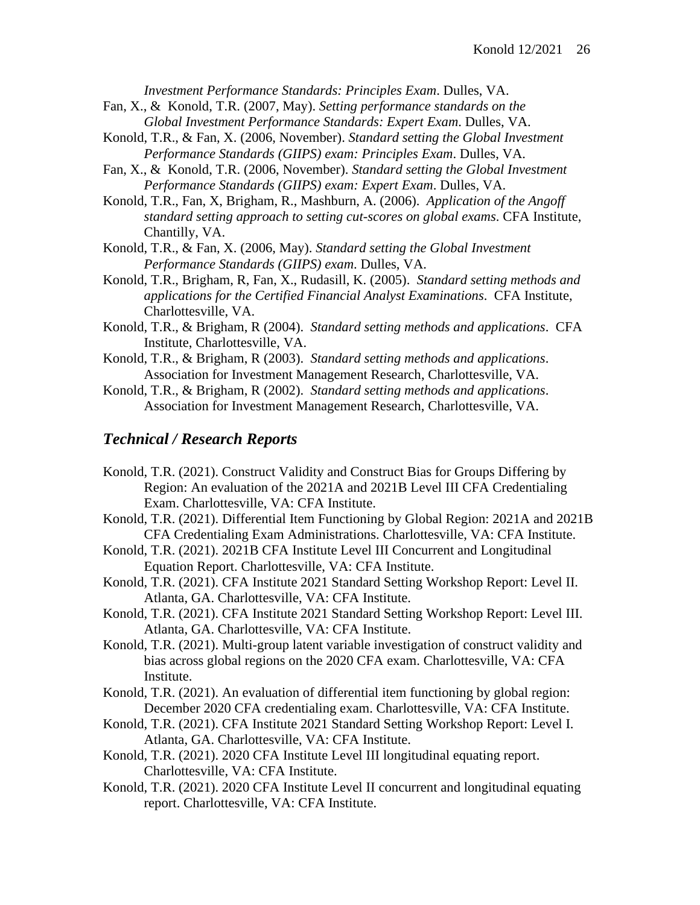*Investment Performance Standards: Principles Exam*. Dulles, VA.

- Fan, X., & Konold, T.R. (2007, May). *Setting performance standards on the Global Investment Performance Standards: Expert Exam*. Dulles, VA.
- Konold, T.R., & Fan, X. (2006, November). *Standard setting the Global Investment Performance Standards (GIIPS) exam: Principles Exam*. Dulles, VA.
- Fan, X., & Konold, T.R. (2006, November). *Standard setting the Global Investment Performance Standards (GIIPS) exam: Expert Exam*. Dulles, VA.
- Konold, T.R., Fan, X, Brigham, R., Mashburn, A. (2006). *Application of the Angoff standard setting approach to setting cut-scores on global exams*. CFA Institute, Chantilly, VA.
- Konold, T.R., & Fan, X. (2006, May). *Standard setting the Global Investment Performance Standards (GIIPS) exam*. Dulles, VA.
- Konold, T.R., Brigham, R, Fan, X., Rudasill, K. (2005). *Standard setting methods and applications for the Certified Financial Analyst Examinations*. CFA Institute, Charlottesville, VA.
- Konold, T.R., & Brigham, R (2004). *Standard setting methods and applications*. CFA Institute, Charlottesville, VA.
- Konold, T.R., & Brigham, R (2003). *Standard setting methods and applications*. Association for Investment Management Research, Charlottesville, VA.
- Konold, T.R., & Brigham, R (2002). *Standard setting methods and applications*. Association for Investment Management Research, Charlottesville, VA.

## *Technical / Research Reports*

- Konold, T.R. (2021). Construct Validity and Construct Bias for Groups Differing by Region: An evaluation of the 2021A and 2021B Level III CFA Credentialing Exam. Charlottesville, VA: CFA Institute.
- Konold, T.R. (2021). Differential Item Functioning by Global Region: 2021A and 2021B CFA Credentialing Exam Administrations. Charlottesville, VA: CFA Institute.
- Konold, T.R. (2021). 2021B CFA Institute Level III Concurrent and Longitudinal Equation Report. Charlottesville, VA: CFA Institute.
- Konold, T.R. (2021). CFA Institute 2021 Standard Setting Workshop Report: Level II. Atlanta, GA. Charlottesville, VA: CFA Institute.
- Konold, T.R. (2021). CFA Institute 2021 Standard Setting Workshop Report: Level III. Atlanta, GA. Charlottesville, VA: CFA Institute.
- Konold, T.R. (2021). Multi-group latent variable investigation of construct validity and bias across global regions on the 2020 CFA exam. Charlottesville, VA: CFA Institute.
- Konold, T.R. (2021). An evaluation of differential item functioning by global region: December 2020 CFA credentialing exam. Charlottesville, VA: CFA Institute.
- Konold, T.R. (2021). CFA Institute 2021 Standard Setting Workshop Report: Level I. Atlanta, GA. Charlottesville, VA: CFA Institute.
- Konold, T.R. (2021). 2020 CFA Institute Level III longitudinal equating report. Charlottesville, VA: CFA Institute.
- Konold, T.R. (2021). 2020 CFA Institute Level II concurrent and longitudinal equating report. Charlottesville, VA: CFA Institute.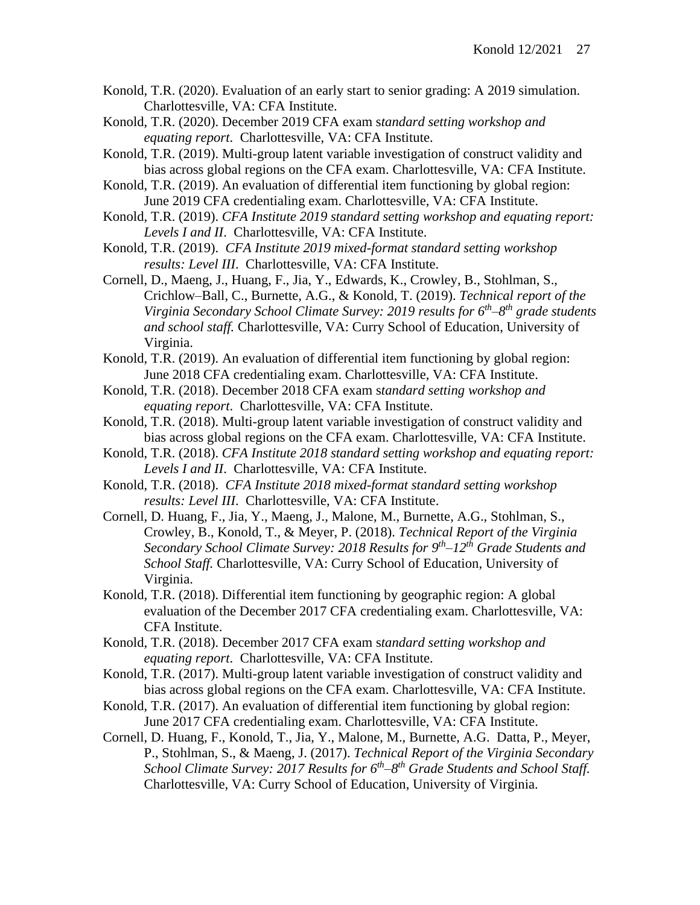- Konold, T.R. (2020). Evaluation of an early start to senior grading: A 2019 simulation. Charlottesville, VA: CFA Institute.
- Konold, T.R. (2020). December 2019 CFA exam s*tandard setting workshop and equating report*. Charlottesville, VA: CFA Institute.
- Konold, T.R. (2019). Multi-group latent variable investigation of construct validity and bias across global regions on the CFA exam. Charlottesville, VA: CFA Institute.
- Konold, T.R. (2019). An evaluation of differential item functioning by global region: June 2019 CFA credentialing exam. Charlottesville, VA: CFA Institute.
- Konold, T.R. (2019). *CFA Institute 2019 standard setting workshop and equating report: Levels I and II*. Charlottesville, VA: CFA Institute.
- Konold, T.R. (2019). *CFA Institute 2019 mixed-format standard setting workshop results: Level III*. Charlottesville, VA: CFA Institute.
- Cornell, D., Maeng, J., Huang, F., Jia, Y., Edwards, K., Crowley, B., Stohlman, S., Crichlow–Ball, C., Burnette, A.G., & Konold, T. (2019). *Technical report of the Virginia Secondary School Climate Survey: 2019 results for 6th –8 th grade students and school staff.* Charlottesville, VA: Curry School of Education, University of Virginia.
- Konold, T.R. (2019). An evaluation of differential item functioning by global region: June 2018 CFA credentialing exam. Charlottesville, VA: CFA Institute.
- Konold, T.R. (2018). December 2018 CFA exam s*tandard setting workshop and equating report*. Charlottesville, VA: CFA Institute.
- Konold, T.R. (2018). Multi-group latent variable investigation of construct validity and bias across global regions on the CFA exam. Charlottesville, VA: CFA Institute.
- Konold, T.R. (2018). *CFA Institute 2018 standard setting workshop and equating report: Levels I and II*. Charlottesville, VA: CFA Institute.
- Konold, T.R. (2018). *CFA Institute 2018 mixed-format standard setting workshop results: Level III*. Charlottesville, VA: CFA Institute.
- Cornell, D. Huang, F., Jia, Y., Maeng, J., Malone, M., Burnette, A.G., Stohlman, S., Crowley, B., Konold, T., & Meyer, P. (2018). *Technical Report of the Virginia Secondary School Climate Survey: 2018 Results for 9 th –12th Grade Students and School Staff.* Charlottesville, VA: Curry School of Education, University of Virginia.
- Konold, T.R. (2018). Differential item functioning by geographic region: A global evaluation of the December 2017 CFA credentialing exam. Charlottesville, VA: CFA Institute.
- Konold, T.R. (2018). December 2017 CFA exam s*tandard setting workshop and equating report*. Charlottesville, VA: CFA Institute.
- Konold, T.R. (2017). Multi-group latent variable investigation of construct validity and bias across global regions on the CFA exam. Charlottesville, VA: CFA Institute.
- Konold, T.R. (2017). An evaluation of differential item functioning by global region: June 2017 CFA credentialing exam. Charlottesville, VA: CFA Institute.
- Cornell, D. Huang, F., Konold, T., Jia, Y., Malone, M., Burnette, A.G. Datta, P., Meyer, P., Stohlman, S., & Maeng, J. (2017). *Technical Report of the Virginia Secondary School Climate Survey: 2017 Results for 6<sup>th</sup>–8<sup>th</sup> Grade Students and School Staff.* Charlottesville, VA: Curry School of Education, University of Virginia.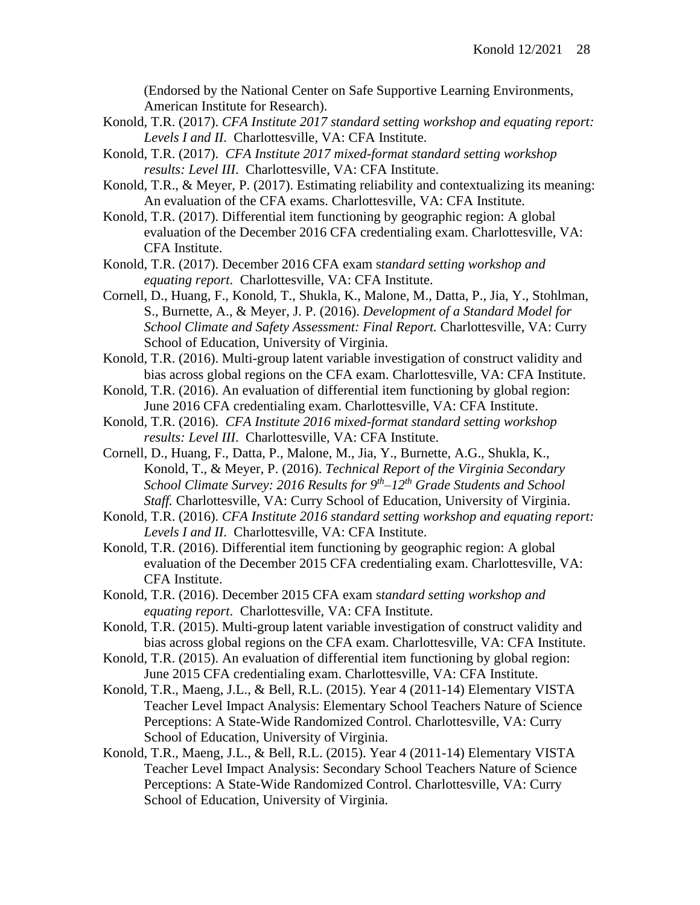(Endorsed by the National Center on Safe Supportive Learning Environments, American Institute for Research).

- Konold, T.R. (2017). *CFA Institute 2017 standard setting workshop and equating report: Levels I and II*. Charlottesville, VA: CFA Institute.
- Konold, T.R. (2017). *CFA Institute 2017 mixed-format standard setting workshop results: Level III*. Charlottesville, VA: CFA Institute.
- Konold, T.R., & Meyer, P. (2017). Estimating reliability and contextualizing its meaning: An evaluation of the CFA exams. Charlottesville, VA: CFA Institute.
- Konold, T.R. (2017). Differential item functioning by geographic region: A global evaluation of the December 2016 CFA credentialing exam. Charlottesville, VA: CFA Institute.
- Konold, T.R. (2017). December 2016 CFA exam s*tandard setting workshop and equating report*. Charlottesville, VA: CFA Institute.
- Cornell, D., Huang, F., Konold, T., Shukla, K., Malone, M., Datta, P., Jia, Y., Stohlman, S., Burnette, A., & Meyer, J. P. (2016). *Development of a Standard Model for School Climate and Safety Assessment: Final Report.* Charlottesville, VA: Curry School of Education, University of Virginia.
- Konold, T.R. (2016). Multi-group latent variable investigation of construct validity and bias across global regions on the CFA exam. Charlottesville, VA: CFA Institute.
- Konold, T.R. (2016). An evaluation of differential item functioning by global region: June 2016 CFA credentialing exam. Charlottesville, VA: CFA Institute.
- Konold, T.R. (2016). *CFA Institute 2016 mixed-format standard setting workshop results: Level III*. Charlottesville, VA: CFA Institute.
- Cornell, D., Huang, F., Datta, P., Malone, M., Jia, Y., Burnette, A.G., Shukla, K., Konold, T., & Meyer, P. (2016). *Technical Report of the Virginia Secondary School Climate Survey: 2016 Results for 9th –12th Grade Students and School Staff.* Charlottesville, VA: Curry School of Education, University of Virginia.
- Konold, T.R. (2016). *CFA Institute 2016 standard setting workshop and equating report: Levels I and II*. Charlottesville, VA: CFA Institute.
- Konold, T.R. (2016). Differential item functioning by geographic region: A global evaluation of the December 2015 CFA credentialing exam. Charlottesville, VA: CFA Institute.
- Konold, T.R. (2016). December 2015 CFA exam s*tandard setting workshop and equating report*. Charlottesville, VA: CFA Institute.
- Konold, T.R. (2015). Multi-group latent variable investigation of construct validity and bias across global regions on the CFA exam. Charlottesville, VA: CFA Institute.
- Konold, T.R. (2015). An evaluation of differential item functioning by global region: June 2015 CFA credentialing exam. Charlottesville, VA: CFA Institute.
- Konold, T.R., Maeng, J.L., & Bell, R.L. (2015). Year 4 (2011-14) Elementary VISTA Teacher Level Impact Analysis: Elementary School Teachers Nature of Science Perceptions: A State-Wide Randomized Control. Charlottesville, VA: Curry School of Education, University of Virginia.
- Konold, T.R., Maeng, J.L., & Bell, R.L. (2015). Year 4 (2011-14) Elementary VISTA Teacher Level Impact Analysis: Secondary School Teachers Nature of Science Perceptions: A State-Wide Randomized Control. Charlottesville, VA: Curry School of Education, University of Virginia.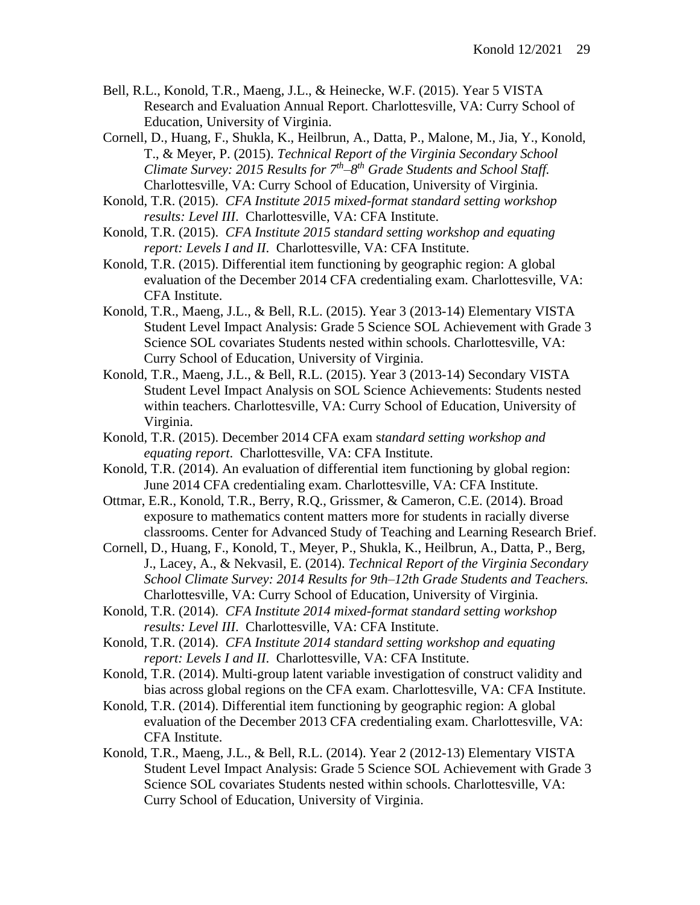- Bell, R.L., Konold, T.R., Maeng, J.L., & Heinecke, W.F. (2015). Year 5 VISTA Research and Evaluation Annual Report. Charlottesville, VA: Curry School of Education, University of Virginia.
- Cornell, D., Huang, F., Shukla, K., Heilbrun, A., Datta, P., Malone, M., Jia, Y., Konold, T., & Meyer, P. (2015). *Technical Report of the Virginia Secondary School Climate Survey: 2015 Results for 7th –8 th Grade Students and School Staff.* Charlottesville, VA: Curry School of Education, University of Virginia.
- Konold, T.R. (2015). *CFA Institute 2015 mixed-format standard setting workshop results: Level III*. Charlottesville, VA: CFA Institute.
- Konold, T.R. (2015). *CFA Institute 2015 standard setting workshop and equating report: Levels I and II*. Charlottesville, VA: CFA Institute.
- Konold, T.R. (2015). Differential item functioning by geographic region: A global evaluation of the December 2014 CFA credentialing exam. Charlottesville, VA: CFA Institute.
- Konold, T.R., Maeng, J.L., & Bell, R.L. (2015). Year 3 (2013-14) Elementary VISTA Student Level Impact Analysis: Grade 5 Science SOL Achievement with Grade 3 Science SOL covariates Students nested within schools. Charlottesville, VA: Curry School of Education, University of Virginia.
- Konold, T.R., Maeng, J.L., & Bell, R.L. (2015). Year 3 (2013-14) Secondary VISTA Student Level Impact Analysis on SOL Science Achievements: Students nested within teachers. Charlottesville, VA: Curry School of Education, University of Virginia.
- Konold, T.R. (2015). December 2014 CFA exam s*tandard setting workshop and equating report*. Charlottesville, VA: CFA Institute.
- Konold, T.R. (2014). An evaluation of differential item functioning by global region: June 2014 CFA credentialing exam. Charlottesville, VA: CFA Institute.
- Ottmar, E.R., Konold, T.R., Berry, R.Q., Grissmer, & Cameron, C.E. (2014). Broad exposure to mathematics content matters more for students in racially diverse classrooms. Center for Advanced Study of Teaching and Learning Research Brief.
- Cornell, D., Huang, F., Konold, T., Meyer, P., Shukla, K., Heilbrun, A., Datta, P., Berg, J., Lacey, A., & Nekvasil, E. (2014). *Technical Report of the Virginia Secondary School Climate Survey: 2014 Results for 9th–12th Grade Students and Teachers.*  Charlottesville, VA: Curry School of Education, University of Virginia.
- Konold, T.R. (2014). *CFA Institute 2014 mixed-format standard setting workshop results: Level III*. Charlottesville, VA: CFA Institute.
- Konold, T.R. (2014). *CFA Institute 2014 standard setting workshop and equating report: Levels I and II*. Charlottesville, VA: CFA Institute.
- Konold, T.R. (2014). Multi-group latent variable investigation of construct validity and bias across global regions on the CFA exam. Charlottesville, VA: CFA Institute.
- Konold, T.R. (2014). Differential item functioning by geographic region: A global evaluation of the December 2013 CFA credentialing exam. Charlottesville, VA: CFA Institute.
- Konold, T.R., Maeng, J.L., & Bell, R.L. (2014). Year 2 (2012-13) Elementary VISTA Student Level Impact Analysis: Grade 5 Science SOL Achievement with Grade 3 Science SOL covariates Students nested within schools. Charlottesville, VA: Curry School of Education, University of Virginia.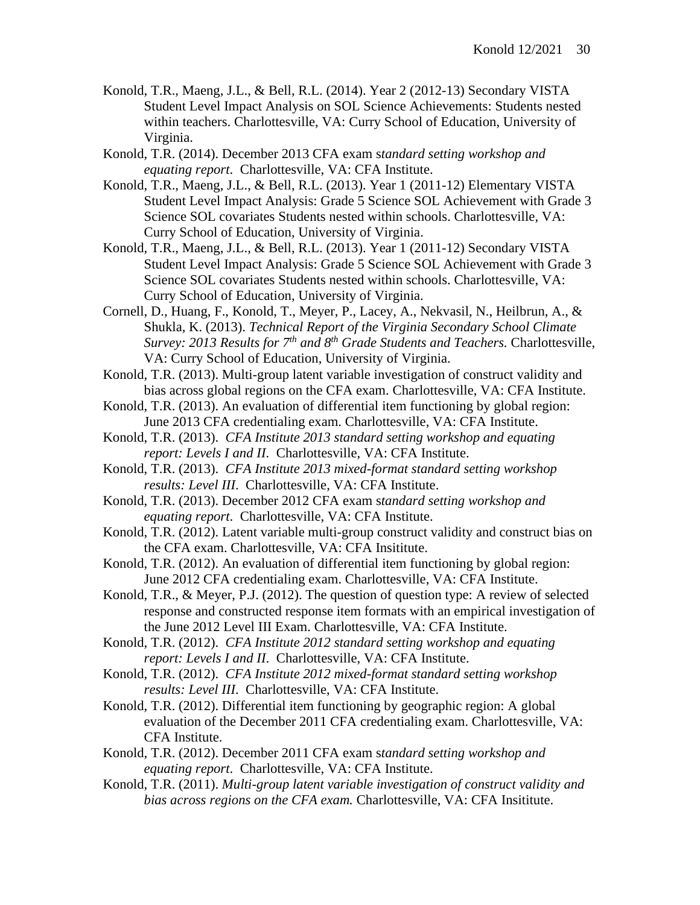- Konold, T.R., Maeng, J.L., & Bell, R.L. (2014). Year 2 (2012-13) Secondary VISTA Student Level Impact Analysis on SOL Science Achievements: Students nested within teachers. Charlottesville, VA: Curry School of Education, University of Virginia.
- Konold, T.R. (2014). December 2013 CFA exam s*tandard setting workshop and equating report*. Charlottesville, VA: CFA Institute.
- Konold, T.R., Maeng, J.L., & Bell, R.L. (2013). Year 1 (2011-12) Elementary VISTA Student Level Impact Analysis: Grade 5 Science SOL Achievement with Grade 3 Science SOL covariates Students nested within schools. Charlottesville, VA: Curry School of Education, University of Virginia.
- Konold, T.R., Maeng, J.L., & Bell, R.L. (2013). Year 1 (2011-12) Secondary VISTA Student Level Impact Analysis: Grade 5 Science SOL Achievement with Grade 3 Science SOL covariates Students nested within schools. Charlottesville, VA: Curry School of Education, University of Virginia.
- Cornell, D., Huang, F., Konold, T., Meyer, P., Lacey, A., Nekvasil, N., Heilbrun, A., & Shukla, K. (2013). *Technical Report of the Virginia Secondary School Climate Survey: 2013 Results for 7th and 8th Grade Students and Teachers.* Charlottesville, VA: Curry School of Education, University of Virginia.
- Konold, T.R. (2013). Multi-group latent variable investigation of construct validity and bias across global regions on the CFA exam. Charlottesville, VA: CFA Institute.
- Konold, T.R. (2013). An evaluation of differential item functioning by global region: June 2013 CFA credentialing exam. Charlottesville, VA: CFA Institute.
- Konold, T.R. (2013). *CFA Institute 2013 standard setting workshop and equating report: Levels I and II*. Charlottesville, VA: CFA Institute.
- Konold, T.R. (2013). *CFA Institute 2013 mixed-format standard setting workshop results: Level III*. Charlottesville, VA: CFA Institute.
- Konold, T.R. (2013). December 2012 CFA exam s*tandard setting workshop and equating report*. Charlottesville, VA: CFA Institute.
- Konold, T.R. (2012). Latent variable multi-group construct validity and construct bias on the CFA exam. Charlottesville, VA: CFA Insititute.
- Konold, T.R. (2012). An evaluation of differential item functioning by global region: June 2012 CFA credentialing exam. Charlottesville, VA: CFA Institute.
- Konold, T.R., & Meyer, P.J. (2012). The question of question type: A review of selected response and constructed response item formats with an empirical investigation of the June 2012 Level III Exam. Charlottesville, VA: CFA Institute.
- Konold, T.R. (2012). *CFA Institute 2012 standard setting workshop and equating report: Levels I and II*. Charlottesville, VA: CFA Institute.
- Konold, T.R. (2012). *CFA Institute 2012 mixed-format standard setting workshop results: Level III*. Charlottesville, VA: CFA Institute.
- Konold, T.R. (2012). Differential item functioning by geographic region: A global evaluation of the December 2011 CFA credentialing exam. Charlottesville, VA: CFA Institute.
- Konold, T.R. (2012). December 2011 CFA exam s*tandard setting workshop and equating report*. Charlottesville, VA: CFA Institute.
- Konold, T.R. (2011). *Multi-group latent variable investigation of construct validity and bias across regions on the CFA exam.* Charlottesville, VA: CFA Insititute.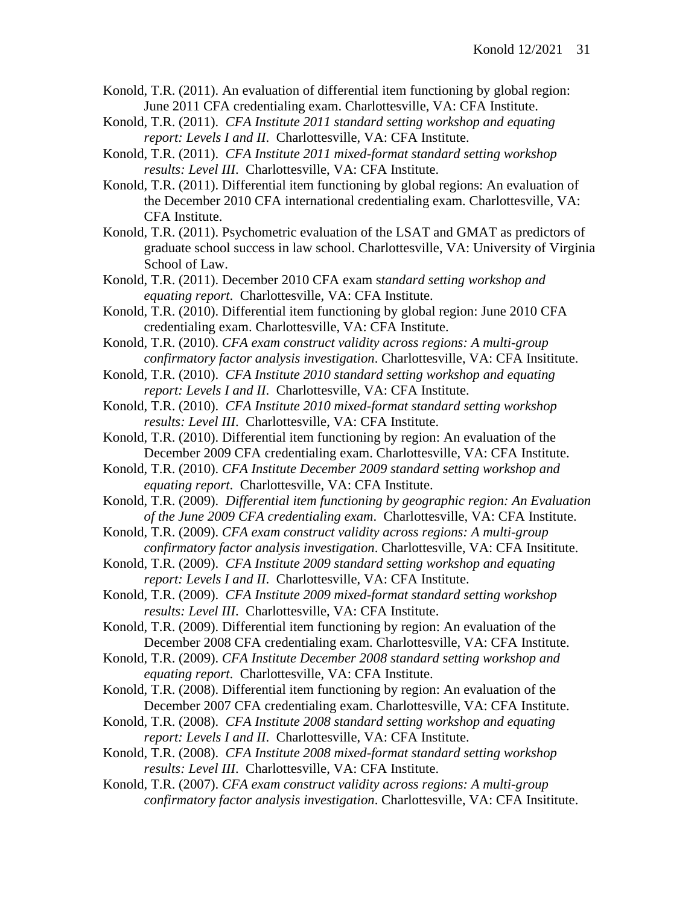- Konold, T.R. (2011). An evaluation of differential item functioning by global region: June 2011 CFA credentialing exam. Charlottesville, VA: CFA Institute.
- Konold, T.R. (2011). *CFA Institute 2011 standard setting workshop and equating report: Levels I and II*. Charlottesville, VA: CFA Institute.

Konold, T.R. (2011). *CFA Institute 2011 mixed-format standard setting workshop results: Level III*. Charlottesville, VA: CFA Institute.

- Konold, T.R. (2011). Differential item functioning by global regions: An evaluation of the December 2010 CFA international credentialing exam. Charlottesville, VA: CFA Institute.
- Konold, T.R. (2011). Psychometric evaluation of the LSAT and GMAT as predictors of graduate school success in law school. Charlottesville, VA: University of Virginia School of Law.

Konold, T.R. (2011). December 2010 CFA exam s*tandard setting workshop and equating report*. Charlottesville, VA: CFA Institute.

- Konold, T.R. (2010). Differential item functioning by global region: June 2010 CFA credentialing exam. Charlottesville, VA: CFA Institute.
- Konold, T.R. (2010). *CFA exam construct validity across regions: A multi-group confirmatory factor analysis investigation*. Charlottesville, VA: CFA Insititute.
- Konold, T.R. (2010). *CFA Institute 2010 standard setting workshop and equating report: Levels I and II*. Charlottesville, VA: CFA Institute.
- Konold, T.R. (2010). *CFA Institute 2010 mixed-format standard setting workshop results: Level III*. Charlottesville, VA: CFA Institute.
- Konold, T.R. (2010). Differential item functioning by region: An evaluation of the December 2009 CFA credentialing exam. Charlottesville, VA: CFA Institute.
- Konold, T.R. (2010). *CFA Institute December 2009 standard setting workshop and equating report*. Charlottesville, VA: CFA Institute.
- Konold, T.R. (2009). *Differential item functioning by geographic region: An Evaluation of the June 2009 CFA credentialing exam*. Charlottesville, VA: CFA Institute.
- Konold, T.R. (2009). *CFA exam construct validity across regions: A multi-group confirmatory factor analysis investigation*. Charlottesville, VA: CFA Insititute.
- Konold, T.R. (2009). *CFA Institute 2009 standard setting workshop and equating report: Levels I and II*. Charlottesville, VA: CFA Institute.
- Konold, T.R. (2009). *CFA Institute 2009 mixed-format standard setting workshop results: Level III*. Charlottesville, VA: CFA Institute.

Konold, T.R. (2009). Differential item functioning by region: An evaluation of the December 2008 CFA credentialing exam. Charlottesville, VA: CFA Institute.

Konold, T.R. (2009). *CFA Institute December 2008 standard setting workshop and equating report*. Charlottesville, VA: CFA Institute.

- Konold, T.R. (2008). Differential item functioning by region: An evaluation of the December 2007 CFA credentialing exam. Charlottesville, VA: CFA Institute.
- Konold, T.R. (2008). *CFA Institute 2008 standard setting workshop and equating report: Levels I and II*. Charlottesville, VA: CFA Institute.
- Konold, T.R. (2008). *CFA Institute 2008 mixed-format standard setting workshop results: Level III*. Charlottesville, VA: CFA Institute.
- Konold, T.R. (2007). *CFA exam construct validity across regions: A multi-group confirmatory factor analysis investigation*. Charlottesville, VA: CFA Insititute.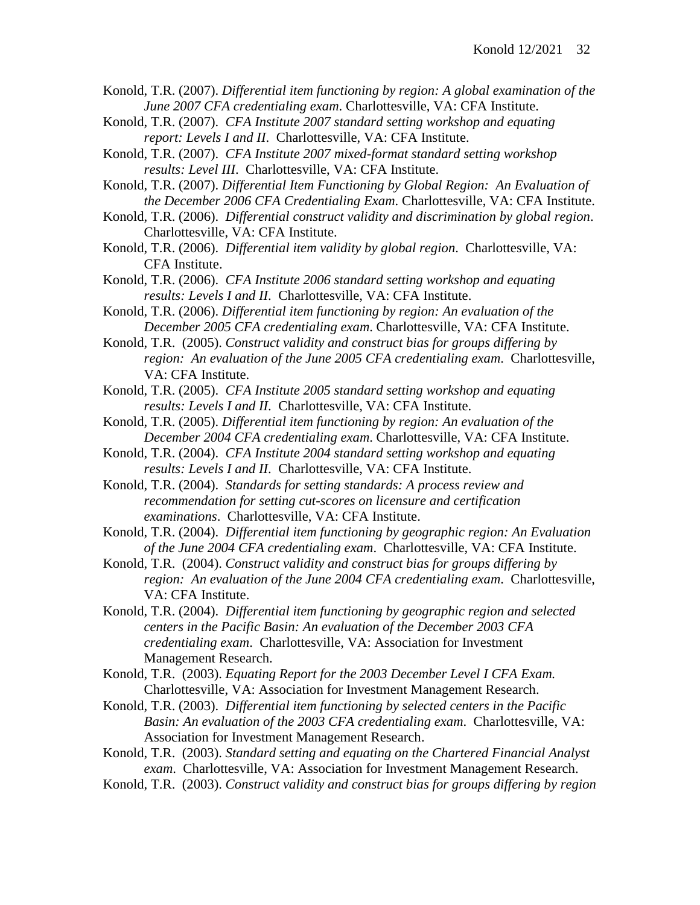Konold, T.R. (2007). *Differential item functioning by region: A global examination of the June 2007 CFA credentialing exam*. Charlottesville, VA: CFA Institute.

Konold, T.R. (2007). *CFA Institute 2007 standard setting workshop and equating report: Levels I and II*. Charlottesville, VA: CFA Institute.

Konold, T.R. (2007). *CFA Institute 2007 mixed-format standard setting workshop results: Level III*. Charlottesville, VA: CFA Institute.

Konold, T.R. (2007). *Differential Item Functioning by Global Region: An Evaluation of the December 2006 CFA Credentialing Exam*. Charlottesville, VA: CFA Institute.

Konold, T.R. (2006). *Differential construct validity and discrimination by global region*. Charlottesville, VA: CFA Institute.

Konold, T.R. (2006). *Differential item validity by global region*. Charlottesville, VA: CFA Institute.

Konold, T.R. (2006). *CFA Institute 2006 standard setting workshop and equating results: Levels I and II*. Charlottesville, VA: CFA Institute.

Konold, T.R. (2006). *Differential item functioning by region: An evaluation of the December 2005 CFA credentialing exam*. Charlottesville, VA: CFA Institute.

Konold, T.R. (2005). *Construct validity and construct bias for groups differing by region: An evaluation of the June 2005 CFA credentialing exam*. Charlottesville, VA: CFA Institute.

Konold, T.R. (2005). *CFA Institute 2005 standard setting workshop and equating results: Levels I and II*. Charlottesville, VA: CFA Institute.

Konold, T.R. (2005). *Differential item functioning by region: An evaluation of the December 2004 CFA credentialing exam*. Charlottesville, VA: CFA Institute.

Konold, T.R. (2004). *CFA Institute 2004 standard setting workshop and equating results: Levels I and II*. Charlottesville, VA: CFA Institute.

Konold, T.R. (2004). *Standards for setting standards: A process review and recommendation for setting cut-scores on licensure and certification examinations*. Charlottesville, VA: CFA Institute.

Konold, T.R. (2004). *Differential item functioning by geographic region: An Evaluation of the June 2004 CFA credentialing exam*. Charlottesville, VA: CFA Institute.

Konold, T.R. (2004). *Construct validity and construct bias for groups differing by region: An evaluation of the June 2004 CFA credentialing exam*. Charlottesville, VA: CFA Institute.

Konold, T.R. (2004). *Differential item functioning by geographic region and selected centers in the Pacific Basin: An evaluation of the December 2003 CFA credentialing exam*. Charlottesville, VA: Association for Investment Management Research.

Konold, T.R. (2003). *Equating Report for the 2003 December Level I CFA Exam.* Charlottesville, VA: Association for Investment Management Research.

Konold, T.R. (2003). *Differential item functioning by selected centers in the Pacific Basin: An evaluation of the 2003 CFA credentialing exam*. Charlottesville, VA: Association for Investment Management Research.

Konold, T.R. (2003). *Standard setting and equating on the Chartered Financial Analyst exam*. Charlottesville, VA: Association for Investment Management Research.

Konold, T.R. (2003). *Construct validity and construct bias for groups differing by region*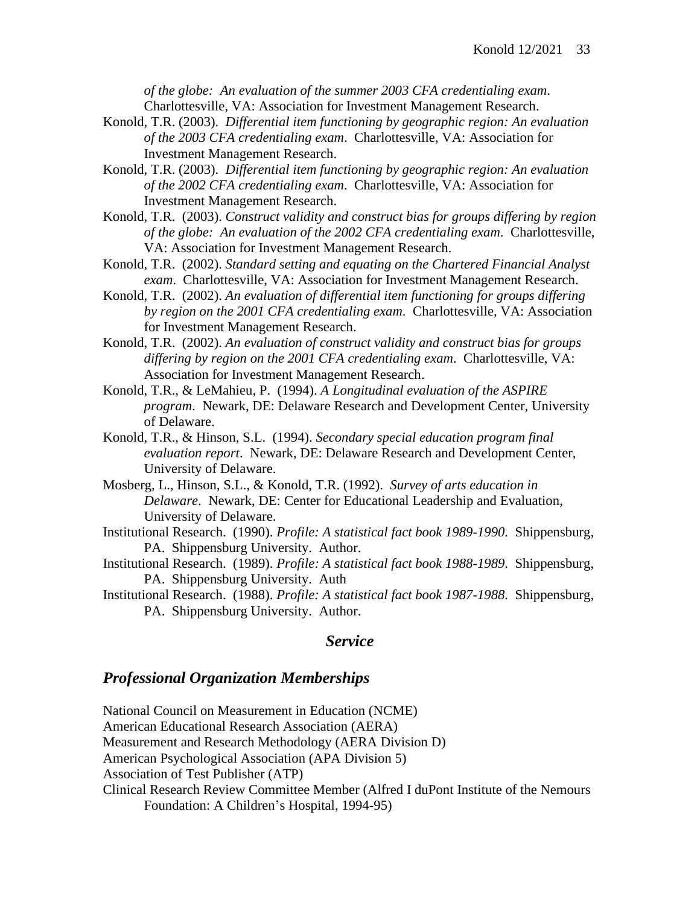*of the globe: An evaluation of the summer 2003 CFA credentialing exam*. Charlottesville, VA: Association for Investment Management Research.

- Konold, T.R. (2003). *Differential item functioning by geographic region: An evaluation of the 2003 CFA credentialing exam*. Charlottesville, VA: Association for Investment Management Research.
- Konold, T.R. (2003). *Differential item functioning by geographic region: An evaluation of the 2002 CFA credentialing exam*. Charlottesville, VA: Association for Investment Management Research.
- Konold, T.R. (2003). *Construct validity and construct bias for groups differing by region of the globe: An evaluation of the 2002 CFA credentialing exam*. Charlottesville, VA: Association for Investment Management Research.
- Konold, T.R. (2002). *Standard setting and equating on the Chartered Financial Analyst exam*. Charlottesville, VA: Association for Investment Management Research.
- Konold, T.R. (2002). *An evaluation of differential item functioning for groups differing by region on the 2001 CFA credentialing exam*. Charlottesville, VA: Association for Investment Management Research.
- Konold, T.R. (2002). *An evaluation of construct validity and construct bias for groups differing by region on the 2001 CFA credentialing exam*. Charlottesville, VA: Association for Investment Management Research.
- Konold, T.R., & LeMahieu, P. (1994). *A Longitudinal evaluation of the ASPIRE program*. Newark, DE: Delaware Research and Development Center, University of Delaware.
- Konold, T.R., & Hinson, S.L. (1994). *Secondary special education program final evaluation report*. Newark, DE: Delaware Research and Development Center, University of Delaware.
- Mosberg, L., Hinson, S.L., & Konold, T.R. (1992). *Survey of arts education in Delaware*. Newark, DE: Center for Educational Leadership and Evaluation, University of Delaware.
- Institutional Research. (1990). *Profile: A statistical fact book 1989-1990*. Shippensburg, PA. Shippensburg University. Author.
- Institutional Research. (1989). *Profile: A statistical fact book 1988-1989*. Shippensburg, PA. Shippensburg University. Auth
- Institutional Research. (1988). *Profile: A statistical fact book 1987-1988*. Shippensburg, PA. Shippensburg University. Author.

#### *Service*

#### *Professional Organization Memberships*

National Council on Measurement in Education (NCME) American Educational Research Association (AERA) Measurement and Research Methodology (AERA Division D) American Psychological Association (APA Division 5) Association of Test Publisher (ATP) Clinical Research Review Committee Member (Alfred I duPont Institute of the Nemours Foundation: A Children's Hospital, 1994-95)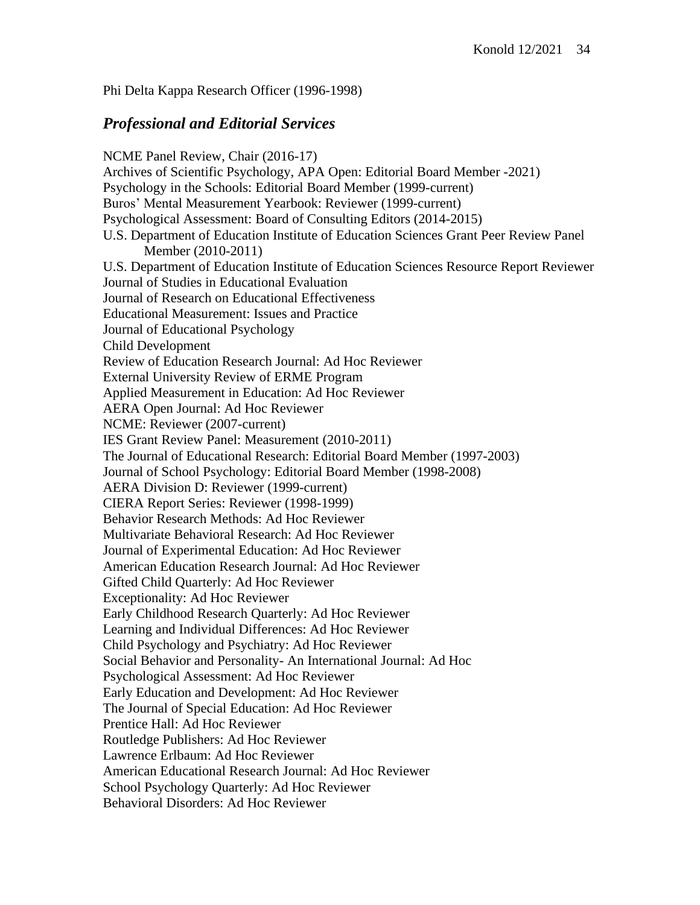Phi Delta Kappa Research Officer (1996-1998)

## *Professional and Editorial Services*

NCME Panel Review, Chair (2016-17) Archives of Scientific Psychology, APA Open: Editorial Board Member -2021) Psychology in the Schools: Editorial Board Member (1999-current) Buros' Mental Measurement Yearbook: Reviewer (1999-current) Psychological Assessment: Board of Consulting Editors (2014-2015) U.S. Department of Education Institute of Education Sciences Grant Peer Review Panel Member (2010-2011) U.S. Department of Education Institute of Education Sciences Resource Report Reviewer Journal of Studies in Educational Evaluation Journal of Research on Educational Effectiveness Educational Measurement: Issues and Practice Journal of Educational Psychology Child Development Review of Education Research Journal: Ad Hoc Reviewer External University Review of ERME Program Applied Measurement in Education: Ad Hoc Reviewer AERA Open Journal: Ad Hoc Reviewer NCME: Reviewer (2007-current) IES Grant Review Panel: Measurement (2010-2011) The Journal of Educational Research: Editorial Board Member (1997-2003) Journal of School Psychology: Editorial Board Member (1998-2008) AERA Division D: Reviewer (1999-current) CIERA Report Series: Reviewer (1998-1999) Behavior Research Methods: Ad Hoc Reviewer Multivariate Behavioral Research: Ad Hoc Reviewer Journal of Experimental Education: Ad Hoc Reviewer American Education Research Journal: Ad Hoc Reviewer Gifted Child Quarterly: Ad Hoc Reviewer Exceptionality: Ad Hoc Reviewer Early Childhood Research Quarterly: Ad Hoc Reviewer Learning and Individual Differences: Ad Hoc Reviewer Child Psychology and Psychiatry: Ad Hoc Reviewer Social Behavior and Personality- An International Journal: Ad Hoc Psychological Assessment: Ad Hoc Reviewer Early Education and Development: Ad Hoc Reviewer The Journal of Special Education: Ad Hoc Reviewer Prentice Hall: Ad Hoc Reviewer Routledge Publishers: Ad Hoc Reviewer Lawrence Erlbaum: Ad Hoc Reviewer American Educational Research Journal: Ad Hoc Reviewer School Psychology Quarterly: Ad Hoc Reviewer Behavioral Disorders: Ad Hoc Reviewer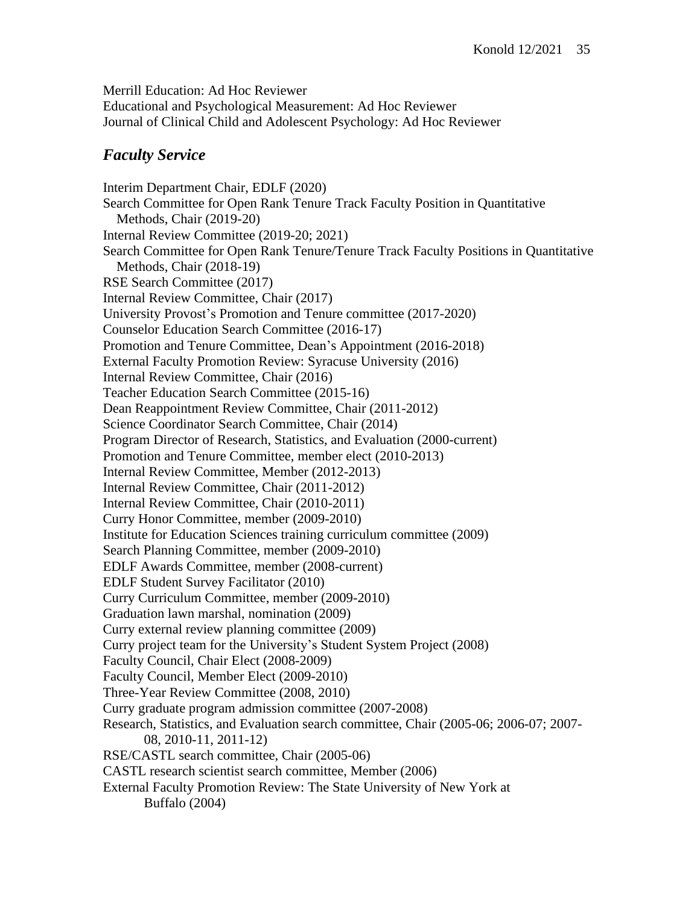Merrill Education: Ad Hoc Reviewer Educational and Psychological Measurement: Ad Hoc Reviewer Journal of Clinical Child and Adolescent Psychology: Ad Hoc Reviewer

# *Faculty Service*

Interim Department Chair, EDLF (2020) Search Committee for Open Rank Tenure Track Faculty Position in Quantitative Methods, Chair (2019-20) Internal Review Committee (2019-20; 2021) Search Committee for Open Rank Tenure/Tenure Track Faculty Positions in Quantitative Methods, Chair (2018-19) RSE Search Committee (2017) Internal Review Committee, Chair (2017) University Provost's Promotion and Tenure committee (2017-2020) Counselor Education Search Committee (2016-17) Promotion and Tenure Committee, Dean's Appointment (2016-2018) External Faculty Promotion Review: Syracuse University (2016) Internal Review Committee, Chair (2016) Teacher Education Search Committee (2015-16) Dean Reappointment Review Committee, Chair (2011-2012) Science Coordinator Search Committee, Chair (2014) Program Director of Research, Statistics, and Evaluation (2000-current) Promotion and Tenure Committee, member elect (2010-2013) Internal Review Committee, Member (2012-2013) Internal Review Committee, Chair (2011-2012) Internal Review Committee, Chair (2010-2011) Curry Honor Committee, member (2009-2010) Institute for Education Sciences training curriculum committee (2009) Search Planning Committee, member (2009-2010) EDLF Awards Committee, member (2008-current) EDLF Student Survey Facilitator (2010) Curry Curriculum Committee, member (2009-2010) Graduation lawn marshal, nomination (2009) Curry external review planning committee (2009) Curry project team for the University's Student System Project (2008) Faculty Council, Chair Elect (2008-2009) Faculty Council, Member Elect (2009-2010) Three-Year Review Committee (2008, 2010) Curry graduate program admission committee (2007-2008) Research, Statistics, and Evaluation search committee, Chair (2005-06; 2006-07; 2007- 08, 2010-11, 2011-12) RSE/CASTL search committee, Chair (2005-06) CASTL research scientist search committee, Member (2006) External Faculty Promotion Review: The State University of New York at Buffalo (2004)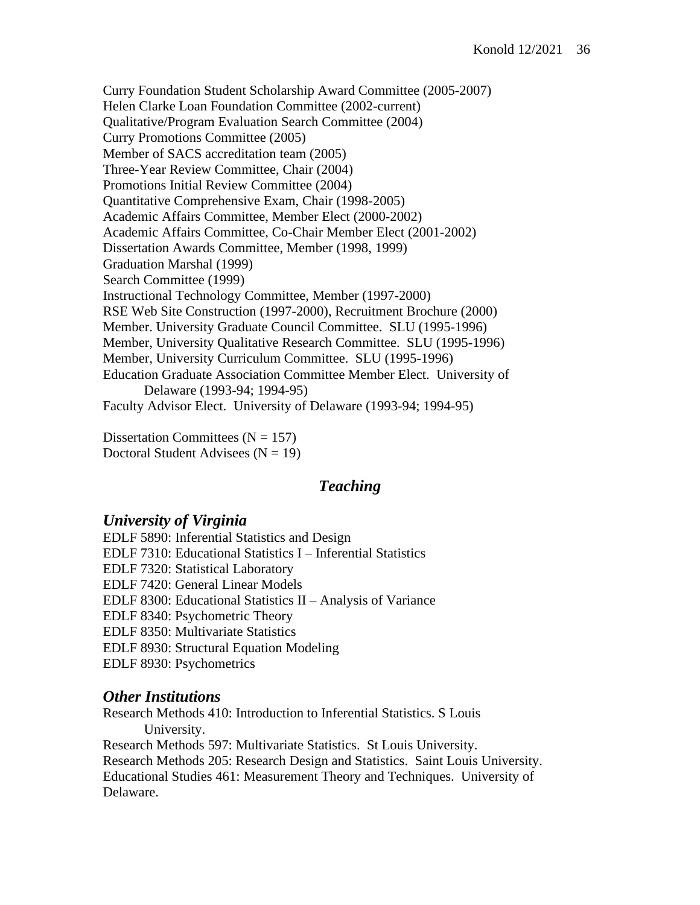Curry Foundation Student Scholarship Award Committee (2005-2007) Helen Clarke Loan Foundation Committee (2002-current) Qualitative/Program Evaluation Search Committee (2004) Curry Promotions Committee (2005) Member of SACS accreditation team (2005) Three-Year Review Committee, Chair (2004) Promotions Initial Review Committee (2004) Quantitative Comprehensive Exam, Chair (1998-2005) Academic Affairs Committee, Member Elect (2000-2002) Academic Affairs Committee, Co-Chair Member Elect (2001-2002) Dissertation Awards Committee, Member (1998, 1999) Graduation Marshal (1999) Search Committee (1999) Instructional Technology Committee, Member (1997-2000) RSE Web Site Construction (1997-2000), Recruitment Brochure (2000) Member. University Graduate Council Committee. SLU (1995-1996) Member, University Qualitative Research Committee. SLU (1995-1996) Member, University Curriculum Committee. SLU (1995-1996) Education Graduate Association Committee Member Elect. University of Delaware (1993-94; 1994-95) Faculty Advisor Elect. University of Delaware (1993-94; 1994-95)

Dissertation Committees  $(N = 157)$ Doctoral Student Advisees  $(N = 19)$ 

## *Teaching*

#### *University of Virginia*

EDLF 5890: Inferential Statistics and Design EDLF 7310: Educational Statistics I – Inferential Statistics EDLF 7320: Statistical Laboratory EDLF 7420: General Linear Models EDLF 8300: Educational Statistics II – Analysis of Variance EDLF 8340: Psychometric Theory EDLF 8350: Multivariate Statistics EDLF 8930: Structural Equation Modeling EDLF 8930: Psychometrics

#### *Other Institutions*

Research Methods 410: Introduction to Inferential Statistics. S Louis University.

Research Methods 597: Multivariate Statistics. St Louis University. Research Methods 205: Research Design and Statistics. Saint Louis University. Educational Studies 461: Measurement Theory and Techniques. University of Delaware.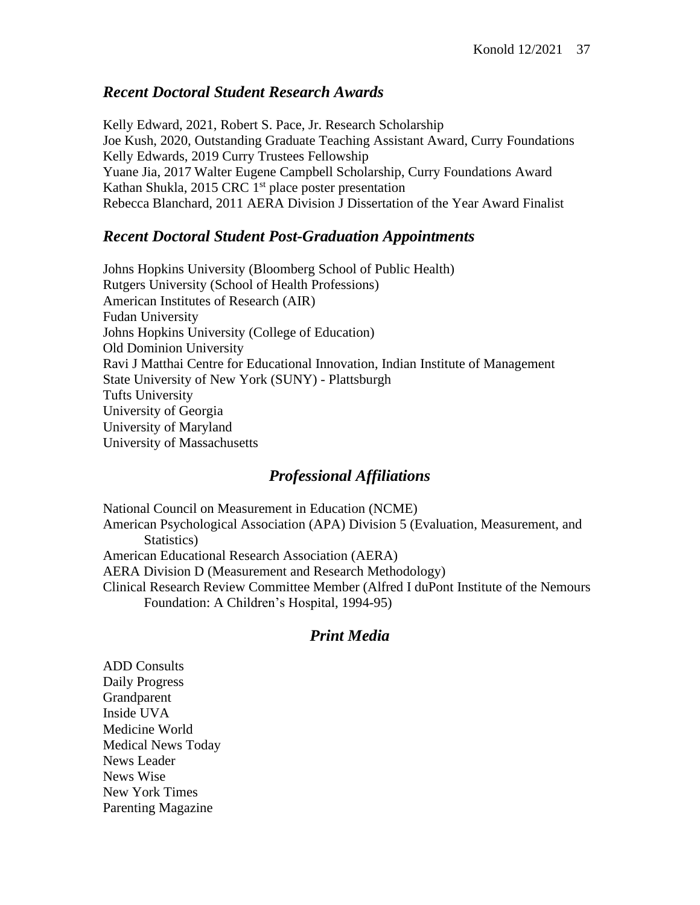## *Recent Doctoral Student Research Awards*

Kelly Edward, 2021, Robert S. Pace, Jr. Research Scholarship Joe Kush, 2020, Outstanding Graduate Teaching Assistant Award, Curry Foundations Kelly Edwards, 2019 Curry Trustees Fellowship Yuane Jia, 2017 Walter Eugene Campbell Scholarship, Curry Foundations Award Kathan Shukla, 2015 CRC 1<sup>st</sup> place poster presentation Rebecca Blanchard, 2011 AERA Division J Dissertation of the Year Award Finalist

## *Recent Doctoral Student Post-Graduation Appointments*

Johns Hopkins University (Bloomberg School of Public Health) Rutgers University (School of Health Professions) American Institutes of Research (AIR) Fudan University Johns Hopkins University (College of Education) Old Dominion University Ravi J Matthai Centre for Educational Innovation, Indian Institute of Management State University of New York (SUNY) - Plattsburgh Tufts University University of Georgia University of Maryland University of Massachusetts

# *Professional Affiliations*

National Council on Measurement in Education (NCME) American Psychological Association (APA) Division 5 (Evaluation, Measurement, and Statistics) American Educational Research Association (AERA) AERA Division D (Measurement and Research Methodology) Clinical Research Review Committee Member (Alfred I duPont Institute of the Nemours Foundation: A Children's Hospital, 1994-95)

# *Print Media*

ADD Consults Daily Progress Grandparent Inside UVA Medicine World Medical News Today News Leader News Wise New York Times Parenting Magazine